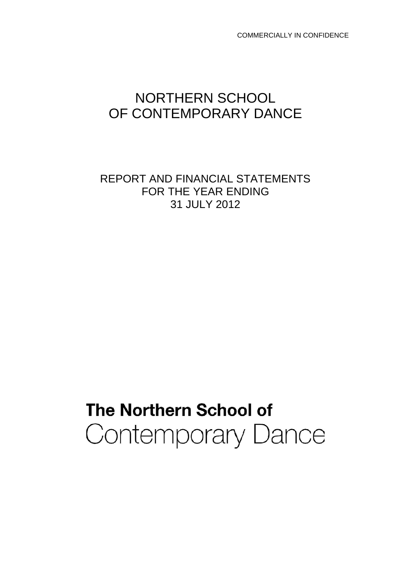COMMERCIALLY IN CONFIDENCE

## NORTHERN SCHOOL OF CONTEMPORARY DANCE

REPORT AND FINANCIAL STATEMENTS FOR THE YEAR ENDING 31 JULY 2012

# **The Northern School of Contemporary Dance**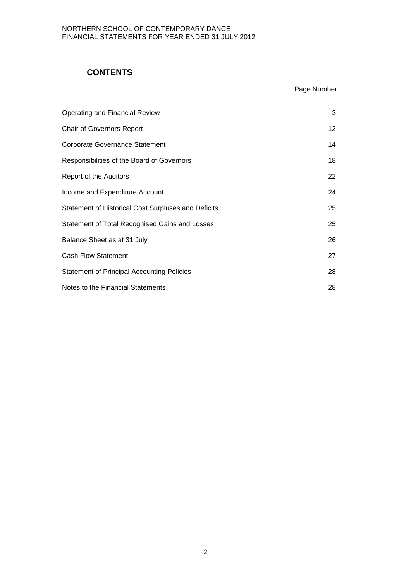## **CONTENTS**

## Page Number

| Operating and Financial Review                             | 3               |
|------------------------------------------------------------|-----------------|
| <b>Chair of Governors Report</b>                           | 12 <sup>°</sup> |
| <b>Corporate Governance Statement</b>                      | 14              |
| Responsibilities of the Board of Governors                 | 18              |
| Report of the Auditors                                     | 22              |
| Income and Expenditure Account                             | 24              |
| <b>Statement of Historical Cost Surpluses and Deficits</b> | 25              |
| Statement of Total Recognised Gains and Losses             | 25              |
| Balance Sheet as at 31 July                                | 26              |
| <b>Cash Flow Statement</b>                                 | 27              |
| <b>Statement of Principal Accounting Policies</b>          | 28              |
| Notes to the Financial Statements                          | 28              |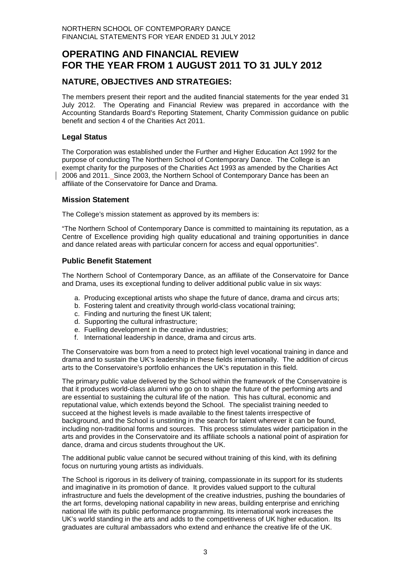## **OPERATING AND FINANCIAL REVIEW FOR THE YEAR FROM 1 AUGUST 2011 TO 31 JULY 2012**

## **NATURE, OBJECTIVES AND STRATEGIES:**

The members present their report and the audited financial statements for the year ended 31 July 2012. The Operating and Financial Review was prepared in accordance with the Accounting Standards Board's Reporting Statement, Charity Commission guidance on public benefit and section 4 of the Charities Act 2011.

#### **Legal Status**

The Corporation was established under the Further and Higher Education Act 1992 for the purpose of conducting The Northern School of Contemporary Dance. The College is an exempt charity for the purposes of the Charities Act 1993 as amended by the Charities Act 2006 and 2011. Since 2003, the Northern School of Contemporary Dance has been an affiliate of the Conservatoire for Dance and Drama.

#### **Mission Statement**

The College's mission statement as approved by its members is:

"The Northern School of Contemporary Dance is committed to maintaining its reputation, as a Centre of Excellence providing high quality educational and training opportunities in dance and dance related areas with particular concern for access and equal opportunities".

#### **Public Benefit Statement**

The Northern School of Contemporary Dance, as an affiliate of the Conservatoire for Dance and Drama, uses its exceptional funding to deliver additional public value in six ways:

- a. Producing exceptional artists who shape the future of dance, drama and circus arts;
- b. Fostering talent and creativity through world-class vocational training;
- c. Finding and nurturing the finest UK talent;
- d. Supporting the cultural infrastructure;
- e. Fuelling development in the creative industries;
- f. International leadership in dance, drama and circus arts.

The Conservatoire was born from a need to protect high level vocational training in dance and drama and to sustain the UK's leadership in these fields internationally. The addition of circus arts to the Conservatoire's portfolio enhances the UK's reputation in this field.

The primary public value delivered by the School within the framework of the Conservatoire is that it produces world-class alumni who go on to shape the future of the performing arts and are essential to sustaining the cultural life of the nation. This has cultural, economic and reputational value, which extends beyond the School. The specialist training needed to succeed at the highest levels is made available to the finest talents irrespective of background, and the School is unstinting in the search for talent wherever it can be found, including non-traditional forms and sources. This process stimulates wider participation in the arts and provides in the Conservatoire and its affiliate schools a national point of aspiration for dance, drama and circus students throughout the UK.

The additional public value cannot be secured without training of this kind, with its defining focus on nurturing young artists as individuals.

The School is rigorous in its delivery of training, compassionate in its support for its students and imaginative in its promotion of dance. It provides valued support to the cultural infrastructure and fuels the development of the creative industries, pushing the boundaries of the art forms, developing national capability in new areas, building enterprise and enriching national life with its public performance programming. Its international work increases the UK's world standing in the arts and adds to the competitiveness of UK higher education. Its graduates are cultural ambassadors who extend and enhance the creative life of the UK.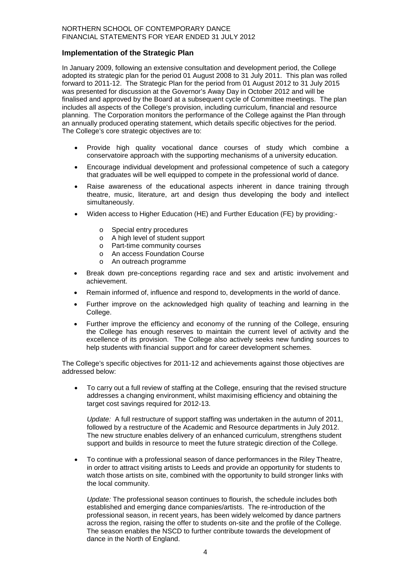#### **Implementation of the Strategic Plan**

In January 2009, following an extensive consultation and development period, the College adopted its strategic plan for the period 01 August 2008 to 31 July 2011. This plan was rolled forward to 2011-12. The Strategic Plan for the period from 01 August 2012 to 31 July 2015 was presented for discussion at the Governor's Away Day in October 2012 and will be finalised and approved by the Board at a subsequent cycle of Committee meetings. The plan includes all aspects of the College's provision, including curriculum, financial and resource planning. The Corporation monitors the performance of the College against the Plan through an annually produced operating statement, which details specific objectives for the period. The College's core strategic objectives are to:

- Provide high quality vocational dance courses of study which combine a conservatoire approach with the supporting mechanisms of a university education.
- Encourage individual development and professional competence of such a category that graduates will be well equipped to compete in the professional world of dance.
- Raise awareness of the educational aspects inherent in dance training through theatre, music, literature, art and design thus developing the body and intellect simultaneously.
- Widen access to Higher Education (HE) and Further Education (FE) by providing:
	- o Special entry procedures
	- o A high level of student support
	- o Part-time community courses
	- o An access Foundation Course
	- o An outreach programme
- Break down pre-conceptions regarding race and sex and artistic involvement and achievement.
- Remain informed of, influence and respond to, developments in the world of dance.
- Further improve on the acknowledged high quality of teaching and learning in the College.
- Further improve the efficiency and economy of the running of the College, ensuring the College has enough reserves to maintain the current level of activity and the excellence of its provision. The College also actively seeks new funding sources to help students with financial support and for career development schemes.

The College's specific objectives for 2011-12 and achievements against those objectives are addressed below:

• To carry out a full review of staffing at the College, ensuring that the revised structure addresses a changing environment, whilst maximising efficiency and obtaining the target cost savings required for 2012-13.

*Update:* A full restructure of support staffing was undertaken in the autumn of 2011, followed by a restructure of the Academic and Resource departments in July 2012. The new structure enables delivery of an enhanced curriculum, strengthens student support and builds in resource to meet the future strategic direction of the College.

• To continue with a professional season of dance performances in the Riley Theatre, in order to attract visiting artists to Leeds and provide an opportunity for students to watch those artists on site, combined with the opportunity to build stronger links with the local community.

*Update:* The professional season continues to flourish, the schedule includes both established and emerging dance companies/artists. The re-introduction of the professional season, in recent years, has been widely welcomed by dance partners across the region, raising the offer to students on-site and the profile of the College. The season enables the NSCD to further contribute towards the development of dance in the North of England.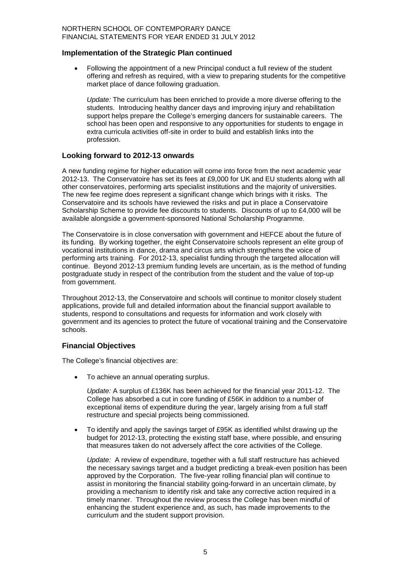#### **Implementation of the Strategic Plan continued**

• Following the appointment of a new Principal conduct a full review of the student offering and refresh as required, with a view to preparing students for the competitive market place of dance following graduation.

*Update:* The curriculum has been enriched to provide a more diverse offering to the students. Introducing healthy dancer days and improving injury and rehabilitation support helps prepare the College's emerging dancers for sustainable careers. The school has been open and responsive to any opportunities for students to engage in extra curricula activities off-site in order to build and establish links into the profession.

#### **Looking forward to 2012-13 onwards**

A new funding regime for higher education will come into force from the next academic year 2012-13. The Conservatoire has set its fees at £9,000 for UK and EU students along with all other conservatoires, performing arts specialist institutions and the majority of universities. The new fee regime does represent a significant change which brings with it risks. The Conservatoire and its schools have reviewed the risks and put in place a Conservatoire Scholarship Scheme to provide fee discounts to students. Discounts of up to £4,000 will be available alongside a government-sponsored National Scholarship Programme.

The Conservatoire is in close conversation with government and HEFCE about the future of its funding. By working together, the eight Conservatoire schools represent an elite group of vocational institutions in dance, drama and circus arts which strengthens the voice of performing arts training. For 2012-13, specialist funding through the targeted allocation will continue. Beyond 2012-13 premium funding levels are uncertain, as is the method of funding postgraduate study in respect of the contribution from the student and the value of top-up from government.

Throughout 2012-13, the Conservatoire and schools will continue to monitor closely student applications, provide full and detailed information about the financial support available to students, respond to consultations and requests for information and work closely with government and its agencies to protect the future of vocational training and the Conservatoire schools.

#### **Financial Objectives**

The College's financial objectives are:

• To achieve an annual operating surplus.

*Update:* A surplus of £136K has been achieved for the financial year 2011-12. The College has absorbed a cut in core funding of £56K in addition to a number of exceptional items of expenditure during the year, largely arising from a full staff restructure and special projects being commissioned.

• To identify and apply the savings target of £95K as identified whilst drawing up the budget for 2012-13, protecting the existing staff base, where possible, and ensuring that measures taken do not adversely affect the core activities of the College.

*Update:* A review of expenditure, together with a full staff restructure has achieved the necessary savings target and a budget predicting a break-even position has been approved by the Corporation. The five-year rolling financial plan will continue to assist in monitoring the financial stability going-forward in an uncertain climate, by providing a mechanism to identify risk and take any corrective action required in a timely manner. Throughout the review process the College has been mindful of enhancing the student experience and, as such, has made improvements to the curriculum and the student support provision.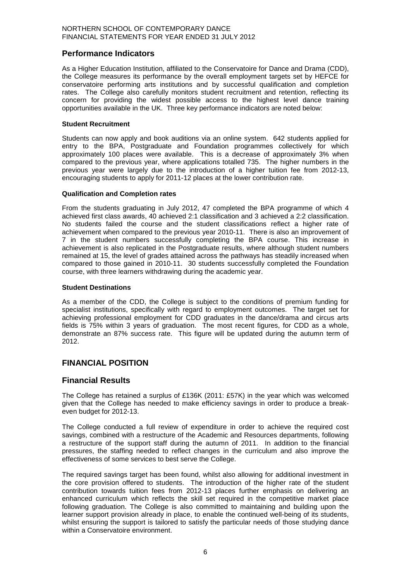## **Performance Indicators**

As a Higher Education Institution, affiliated to the Conservatoire for Dance and Drama (CDD), the College measures its performance by the overall employment targets set by HEFCE for conservatoire performing arts institutions and by successful qualification and completion rates. The College also carefully monitors student recruitment and retention, reflecting its concern for providing the widest possible access to the highest level dance training opportunities available in the UK. Three key performance indicators are noted below:

#### **Student Recruitment**

Students can now apply and book auditions via an online system. 642 students applied for entry to the BPA, Postgraduate and Foundation programmes collectively for which approximately 100 places were available. This is a decrease of approximately 3% when compared to the previous year, where applications totalled 735. The higher numbers in the previous year were largely due to the introduction of a higher tuition fee from 2012-13, encouraging students to apply for 2011-12 places at the lower contribution rate.

#### **Qualification and Completion rates**

From the students graduating in July 2012, 47 completed the BPA programme of which 4 achieved first class awards, 40 achieved 2:1 classification and 3 achieved a 2:2 classification. No students failed the course and the student classifications reflect a higher rate of achievement when compared to the previous year 2010-11. There is also an improvement of 7 in the student numbers successfully completing the BPA course. This increase in achievement is also replicated in the Postgraduate results, where although student numbers remained at 15, the level of grades attained across the pathways has steadily increased when compared to those gained in 2010-11. 30 students successfully completed the Foundation course, with three learners withdrawing during the academic year.

#### **Student Destinations**

As a member of the CDD, the College is subject to the conditions of premium funding for specialist institutions, specifically with regard to employment outcomes. The target set for achieving professional employment for CDD graduates in the dance/drama and circus arts fields is 75% within 3 years of graduation. The most recent figures, for CDD as a whole, demonstrate an 87% success rate. This figure will be updated during the autumn term of 2012.

## **FINANCIAL POSITION**

#### **Financial Results**

The College has retained a surplus of £136K (2011: £57K) in the year which was welcomed given that the College has needed to make efficiency savings in order to produce a breakeven budget for 2012-13.

The College conducted a full review of expenditure in order to achieve the required cost savings, combined with a restructure of the Academic and Resources departments, following a restructure of the support staff during the autumn of 2011. In addition to the financial pressures, the staffing needed to reflect changes in the curriculum and also improve the effectiveness of some services to best serve the College.

The required savings target has been found, whilst also allowing for additional investment in the core provision offered to students. The introduction of the higher rate of the student contribution towards tuition fees from 2012-13 places further emphasis on delivering an enhanced curriculum which reflects the skill set required in the competitive market place following graduation. The College is also committed to maintaining and building upon the learner support provision already in place, to enable the continued well-being of its students, whilst ensuring the support is tailored to satisfy the particular needs of those studying dance within a Conservatoire environment.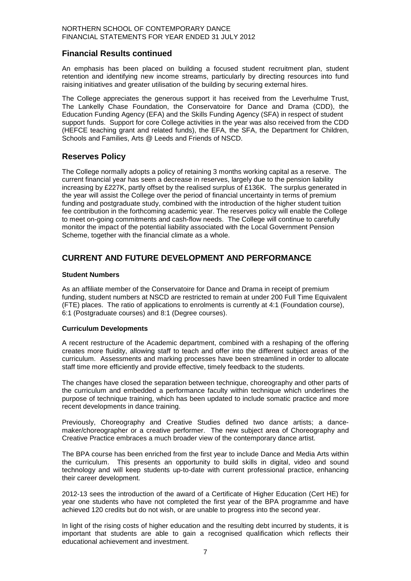## **Financial Results continued**

An emphasis has been placed on building a focused student recruitment plan, student retention and identifying new income streams, particularly by directing resources into fund raising initiatives and greater utilisation of the building by securing external hires.

The College appreciates the generous support it has received from the Leverhulme Trust, The Lankelly Chase Foundation, the Conservatoire for Dance and Drama (CDD), the Education Funding Agency (EFA) and the Skills Funding Agency (SFA) in respect of student support funds. Support for core College activities in the year was also received from the CDD (HEFCE teaching grant and related funds), the EFA, the SFA, the Department for Children, Schools and Families, Arts @ Leeds and Friends of NSCD.

## **Reserves Policy**

The College normally adopts a policy of retaining 3 months working capital as a reserve. The current financial year has seen a decrease in reserves, largely due to the pension liability increasing by £227K, partly offset by the realised surplus of £136K. The surplus generated in the year will assist the College over the period of financial uncertainty in terms of premium funding and postgraduate study, combined with the introduction of the higher student tuition fee contribution in the forthcoming academic year. The reserves policy will enable the College to meet on-going commitments and cash-flow needs. The College will continue to carefully monitor the impact of the potential liability associated with the Local Government Pension Scheme, together with the financial climate as a whole.

## **CURRENT AND FUTURE DEVELOPMENT AND PERFORMANCE**

#### **Student Numbers**

As an affiliate member of the Conservatoire for Dance and Drama in receipt of premium funding, student numbers at NSCD are restricted to remain at under 200 Full Time Equivalent (FTE) places. The ratio of applications to enrolments is currently at 4:1 (Foundation course), 6:1 (Postgraduate courses) and 8:1 (Degree courses).

#### **Curriculum Developments**

A recent restructure of the Academic department, combined with a reshaping of the offering creates more fluidity, allowing staff to teach and offer into the different subject areas of the curriculum. Assessments and marking processes have been streamlined in order to allocate staff time more efficiently and provide effective, timely feedback to the students.

The changes have closed the separation between technique, choreography and other parts of the curriculum and embedded a performance faculty within technique which underlines the purpose of technique training, which has been updated to include somatic practice and more recent developments in dance training.

Previously, Choreography and Creative Studies defined two dance artists; a dancemaker/choreographer or a creative performer. The new subject area of Choreography and Creative Practice embraces a much broader view of the contemporary dance artist.

The BPA course has been enriched from the first year to include Dance and Media Arts within the curriculum. This presents an opportunity to build skills in digital, video and sound technology and will keep students up-to-date with current professional practice, enhancing their career development.

2012-13 sees the introduction of the award of a Certificate of Higher Education (Cert HE) for year one students who have not completed the first year of the BPA programme and have achieved 120 credits but do not wish, or are unable to progress into the second year.

In light of the rising costs of higher education and the resulting debt incurred by students, it is important that students are able to gain a recognised qualification which reflects their educational achievement and investment.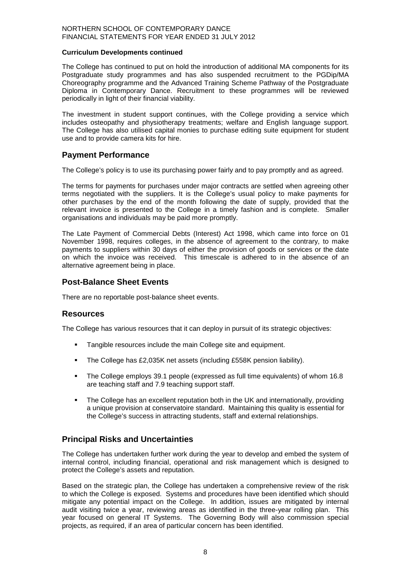#### **Curriculum Developments continued**

The College has continued to put on hold the introduction of additional MA components for its Postgraduate study programmes and has also suspended recruitment to the PGDip/MA Choreography programme and the Advanced Training Scheme Pathway of the Postgraduate Diploma in Contemporary Dance. Recruitment to these programmes will be reviewed periodically in light of their financial viability.

The investment in student support continues, with the College providing a service which includes osteopathy and physiotherapy treatments; welfare and English language support. The College has also utilised capital monies to purchase editing suite equipment for student use and to provide camera kits for hire.

#### **Payment Performance**

The College's policy is to use its purchasing power fairly and to pay promptly and as agreed.

The terms for payments for purchases under major contracts are settled when agreeing other terms negotiated with the suppliers. It is the College's usual policy to make payments for other purchases by the end of the month following the date of supply, provided that the relevant invoice is presented to the College in a timely fashion and is complete. Smaller organisations and individuals may be paid more promptly.

The Late Payment of Commercial Debts (Interest) Act 1998, which came into force on 01 November 1998, requires colleges, in the absence of agreement to the contrary, to make payments to suppliers within 30 days of either the provision of goods or services or the date on which the invoice was received. This timescale is adhered to in the absence of an alternative agreement being in place.

#### **Post-Balance Sheet Events**

There are no reportable post-balance sheet events.

#### **Resources**

The College has various resources that it can deploy in pursuit of its strategic objectives:

- **Tangible resources include the main College site and equipment.**
- The College has £2,035K net assets (including £558K pension liability).
- The College employs 39.1 people (expressed as full time equivalents) of whom 16.8 are teaching staff and 7.9 teaching support staff.
- The College has an excellent reputation both in the UK and internationally, providing a unique provision at conservatoire standard. Maintaining this quality is essential for the College's success in attracting students, staff and external relationships.

## **Principal Risks and Uncertainties**

The College has undertaken further work during the year to develop and embed the system of internal control, including financial, operational and risk management which is designed to protect the College's assets and reputation.

Based on the strategic plan, the College has undertaken a comprehensive review of the risk to which the College is exposed. Systems and procedures have been identified which should mitigate any potential impact on the College. In addition, issues are mitigated by internal audit visiting twice a year, reviewing areas as identified in the three-year rolling plan. This year focused on general IT Systems. The Governing Body will also commission special projects, as required, if an area of particular concern has been identified.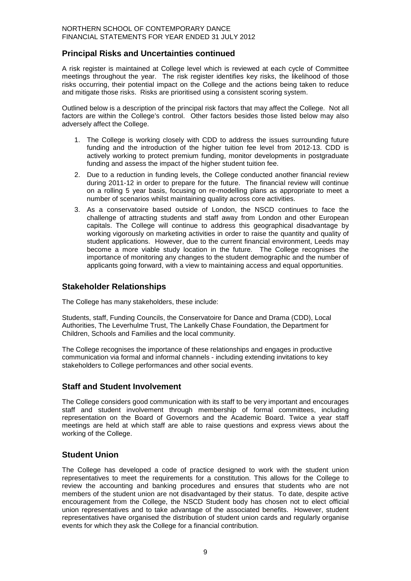## **Principal Risks and Uncertainties continued**

A risk register is maintained at College level which is reviewed at each cycle of Committee meetings throughout the year. The risk register identifies key risks, the likelihood of those risks occurring, their potential impact on the College and the actions being taken to reduce and mitigate those risks. Risks are prioritised using a consistent scoring system.

Outlined below is a description of the principal risk factors that may affect the College. Not all factors are within the College's control. Other factors besides those listed below may also adversely affect the College.

- 1. The College is working closely with CDD to address the issues surrounding future funding and the introduction of the higher tuition fee level from 2012-13. CDD is actively working to protect premium funding, monitor developments in postgraduate funding and assess the impact of the higher student tuition fee.
- 2. Due to a reduction in funding levels, the College conducted another financial review during 2011-12 in order to prepare for the future. The financial review will continue on a rolling 5 year basis, focusing on re-modelling plans as appropriate to meet a number of scenarios whilst maintaining quality across core activities.
- 3. As a conservatoire based outside of London, the NSCD continues to face the challenge of attracting students and staff away from London and other European capitals. The College will continue to address this geographical disadvantage by working vigorously on marketing activities in order to raise the quantity and quality of student applications. However, due to the current financial environment, Leeds may become a more viable study location in the future. The College recognises the importance of monitoring any changes to the student demographic and the number of applicants going forward, with a view to maintaining access and equal opportunities.

## **Stakeholder Relationships**

The College has many stakeholders, these include:

Students, staff, Funding Councils, the Conservatoire for Dance and Drama (CDD), Local Authorities, The Leverhulme Trust, The Lankelly Chase Foundation, the Department for Children, Schools and Families and the local community.

The College recognises the importance of these relationships and engages in productive communication via formal and informal channels - including extending invitations to key stakeholders to College performances and other social events.

## **Staff and Student Involvement**

The College considers good communication with its staff to be very important and encourages staff and student involvement through membership of formal committees, including representation on the Board of Governors and the Academic Board. Twice a year staff meetings are held at which staff are able to raise questions and express views about the working of the College.

## **Student Union**

The College has developed a code of practice designed to work with the student union representatives to meet the requirements for a constitution. This allows for the College to review the accounting and banking procedures and ensures that students who are not members of the student union are not disadvantaged by their status. To date, despite active encouragement from the College, the NSCD Student body has chosen not to elect official union representatives and to take advantage of the associated benefits. However, student representatives have organised the distribution of student union cards and regularly organise events for which they ask the College for a financial contribution.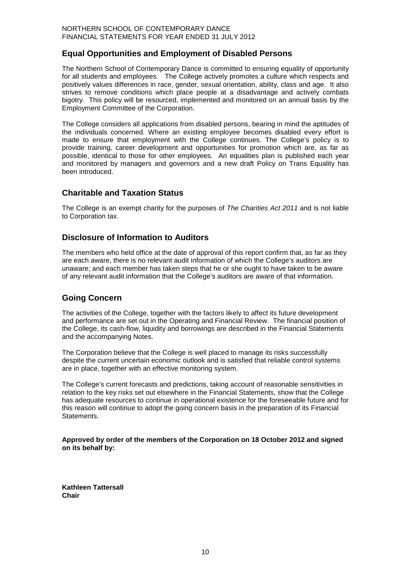## **Equal Opportunities and Employment of Disabled Persons**

The Northern School of Contemporary Dance is committed to ensuring equality of opportunity for all students and employees. The College actively promotes a culture which respects and positively values differences in race, gender, sexual orientation, ability, class and age. It also strives to remove conditions which place people at a disadvantage and actively combats bigotry. This policy will be resourced, implemented and monitored on an annual basis by the Employment Committee of the Corporation.

The College considers all applications from disabled persons, bearing in mind the aptitudes of the individuals concerned. Where an existing employee becomes disabled every effort is made to ensure that employment with the College continues. The College's policy is to provide training, career development and opportunities for promotion which are, as far as possible, identical to those for other employees. An equalities plan is published each year and monitored by managers and governors and a new draft Policy on Trans Equality has been introduced.

## **Charitable and Taxation Status**

The College is an exempt charity for the purposes of *The Charities Act 2011* and is not liable to Corporation tax.

## **Disclosure of Information to Auditors**

The members who held office at the date of approval of this report confirm that, as far as they are each aware, there is no relevant audit information of which the College's auditors are unaware; and each member has taken steps that he or she ought to have taken to be aware of any relevant audit information that the College's auditors are aware of that information.

#### **Going Concern**

The activities of the College, together with the factors likely to affect its future development and performance are set out in the Operating and Financial Review. The financial position of the College, its cash-flow, liquidity and borrowings are described in the Financial Statements and the accompanying Notes.

The Corporation believe that the College is well placed to manage its risks successfully despite the current uncertain economic outlook and is satisfied that reliable control systems are in place, together with an effective monitoring system.

The College's current forecasts and predictions, taking account of reasonable sensitivities in relation to the key risks set out elsewhere in the Financial Statements, show that the College has adequate resources to continue in operational existence for the foreseeable future and for this reason will continue to adopt the going concern basis in the preparation of its Financial Statements.

**Approved by order of the members of the Corporation on 18 October 2012 and signed on its behalf by:**

**Kathleen Tattersall Chair**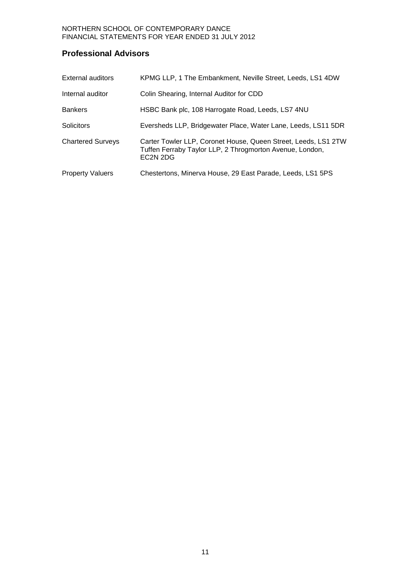## **Professional Advisors**

| External auditors        | KPMG LLP, 1 The Embankment, Neville Street, Leeds, LS1 4DW                                                                                                     |
|--------------------------|----------------------------------------------------------------------------------------------------------------------------------------------------------------|
| Internal auditor         | Colin Shearing, Internal Auditor for CDD                                                                                                                       |
| <b>Bankers</b>           | HSBC Bank plc, 108 Harrogate Road, Leeds, LS7 4NU                                                                                                              |
| Solicitors               | Eversheds LLP, Bridgewater Place, Water Lane, Leeds, LS11 5DR                                                                                                  |
| <b>Chartered Surveys</b> | Carter Towler LLP, Coronet House, Queen Street, Leeds, LS1 2TW<br>Tuffen Ferraby Taylor LLP, 2 Throgmorton Avenue, London,<br>EC <sub>2</sub> N <sub>2DG</sub> |
| <b>Property Valuers</b>  | Chestertons, Minerva House, 29 East Parade, Leeds, LS1 5PS                                                                                                     |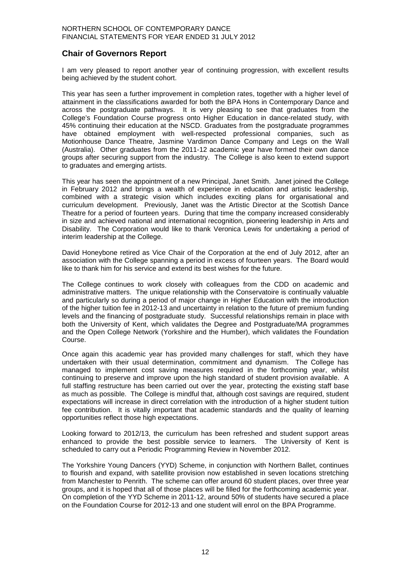## **Chair of Governors Report**

I am very pleased to report another year of continuing progression, with excellent results being achieved by the student cohort.

This year has seen a further improvement in completion rates, together with a higher level of attainment in the classifications awarded for both the BPA Hons in Contemporary Dance and across the postgraduate pathways. It is very pleasing to see that graduates from the College's Foundation Course progress onto Higher Education in dance-related study, with 45% continuing their education at the NSCD. Graduates from the postgraduate programmes have obtained employment with well-respected professional companies, such as Motionhouse Dance Theatre, Jasmine Vardimon Dance Company and Legs on the Wall (Australia). Other graduates from the 2011-12 academic year have formed their own dance groups after securing support from the industry. The College is also keen to extend support to graduates and emerging artists.

This year has seen the appointment of a new Principal, Janet Smith. Janet joined the College in February 2012 and brings a wealth of experience in education and artistic leadership, combined with a strategic vision which includes exciting plans for organisational and curriculum development. Previously, Janet was the Artistic Director at the Scottish Dance Theatre for a period of fourteen years. During that time the company increased considerably in size and achieved national and international recognition, pioneering leadership in Arts and Disability. The Corporation would like to thank Veronica Lewis for undertaking a period of interim leadership at the College.

David Honeybone retired as Vice Chair of the Corporation at the end of July 2012, after an association with the College spanning a period in excess of fourteen years. The Board would like to thank him for his service and extend its best wishes for the future.

The College continues to work closely with colleagues from the CDD on academic and administrative matters. The unique relationship with the Conservatoire is continually valuable and particularly so during a period of major change in Higher Education with the introduction of the higher tuition fee in 2012-13 and uncertainty in relation to the future of premium funding levels and the financing of postgraduate study. Successful relationships remain in place with both the University of Kent, which validates the Degree and Postgraduate/MA programmes and the Open College Network (Yorkshire and the Humber), which validates the Foundation Course.

Once again this academic year has provided many challenges for staff, which they have undertaken with their usual determination, commitment and dynamism. The College has managed to implement cost saving measures required in the forthcoming year, whilst continuing to preserve and improve upon the high standard of student provision available. A full staffing restructure has been carried out over the year, protecting the existing staff base as much as possible. The College is mindful that, although cost savings are required, student expectations will increase in direct correlation with the introduction of a higher student tuition fee contribution. It is vitally important that academic standards and the quality of learning opportunities reflect those high expectations.

Looking forward to 2012/13, the curriculum has been refreshed and student support areas enhanced to provide the best possible service to learners. The University of Kent is scheduled to carry out a Periodic Programming Review in November 2012.

The Yorkshire Young Dancers (YYD) Scheme, in conjunction with Northern Ballet, continues to flourish and expand, with satellite provision now established in seven locations stretching from Manchester to Penrith. The scheme can offer around 60 student places, over three year groups, and it is hoped that all of those places will be filled for the forthcoming academic year. On completion of the YYD Scheme in 2011-12, around 50% of students have secured a place on the Foundation Course for 2012-13 and one student will enrol on the BPA Programme.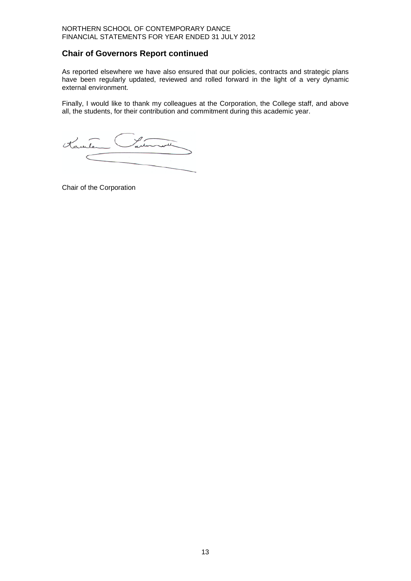## **Chair of Governors Report continued**

As reported elsewhere we have also ensured that our policies, contracts and strategic plans have been regularly updated, reviewed and rolled forward in the light of a very dynamic external environment.

Finally, I would like to thank my colleagues at the Corporation, the College staff, and above all, the students, for their contribution and commitment during this academic year.

Ladermand Kamler

Chair of the Corporation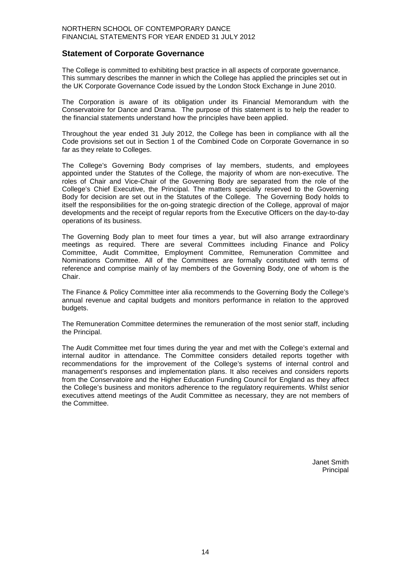#### **Statement of Corporate Governance**

The College is committed to exhibiting best practice in all aspects of corporate governance. This summary describes the manner in which the College has applied the principles set out in the UK Corporate Governance Code issued by the London Stock Exchange in June 2010.

The Corporation is aware of its obligation under its Financial Memorandum with the Conservatoire for Dance and Drama. The purpose of this statement is to help the reader to the financial statements understand how the principles have been applied.

Throughout the year ended 31 July 2012, the College has been in compliance with all the Code provisions set out in Section 1 of the Combined Code on Corporate Governance in so far as they relate to Colleges.

The College's Governing Body comprises of lay members, students, and employees appointed under the Statutes of the College, the majority of whom are non-executive. The roles of Chair and Vice-Chair of the Governing Body are separated from the role of the College's Chief Executive, the Principal. The matters specially reserved to the Governing Body for decision are set out in the Statutes of the College. The Governing Body holds to itself the responsibilities for the on-going strategic direction of the College, approval of major developments and the receipt of regular reports from the Executive Officers on the day-to-day operations of its business.

The Governing Body plan to meet four times a year, but will also arrange extraordinary meetings as required. There are several Committees including Finance and Policy Committee, Audit Committee, Employment Committee, Remuneration Committee and Nominations Committee. All of the Committees are formally constituted with terms of reference and comprise mainly of lay members of the Governing Body, one of whom is the Chair.

The Finance & Policy Committee inter alia recommends to the Governing Body the College's annual revenue and capital budgets and monitors performance in relation to the approved budgets.

The Remuneration Committee determines the remuneration of the most senior staff, including the Principal.

The Audit Committee met four times during the year and met with the College's external and internal auditor in attendance. The Committee considers detailed reports together with recommendations for the improvement of the College's systems of internal control and management's responses and implementation plans. It also receives and considers reports from the Conservatoire and the Higher Education Funding Council for England as they affect the College's business and monitors adherence to the regulatory requirements. Whilst senior executives attend meetings of the Audit Committee as necessary, they are not members of the Committee.

> Janet Smith Principal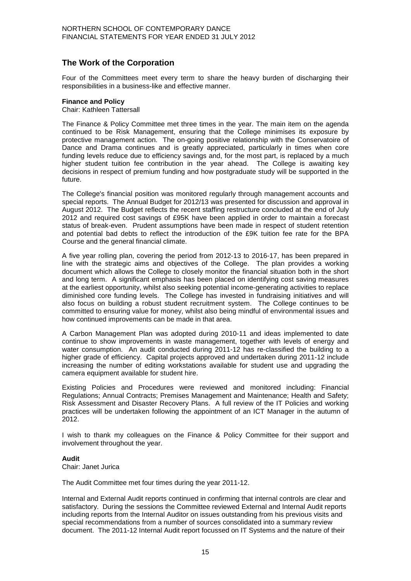## **The Work of the Corporation**

Four of the Committees meet every term to share the heavy burden of discharging their responsibilities in a business-like and effective manner.

#### **Finance and Policy**

Chair: Kathleen Tattersall

The Finance & Policy Committee met three times in the year. The main item on the agenda continued to be Risk Management, ensuring that the College minimises its exposure by protective management action. The on-going positive relationship with the Conservatoire of Dance and Drama continues and is greatly appreciated, particularly in times when core funding levels reduce due to efficiency savings and, for the most part, is replaced by a much higher student tuition fee contribution in the year ahead. The College is awaiting key decisions in respect of premium funding and how postgraduate study will be supported in the future.

The College's financial position was monitored regularly through management accounts and special reports. The Annual Budget for 2012/13 was presented for discussion and approval in August 2012. The Budget reflects the recent staffing restructure concluded at the end of July 2012 and required cost savings of £95K have been applied in order to maintain a forecast status of break-even. Prudent assumptions have been made in respect of student retention and potential bad debts to reflect the introduction of the £9K tuition fee rate for the BPA Course and the general financial climate.

A five year rolling plan, covering the period from 2012-13 to 2016-17, has been prepared in line with the strategic aims and objectives of the College. The plan provides a working document which allows the College to closely monitor the financial situation both in the short and long term. A significant emphasis has been placed on identifying cost saving measures at the earliest opportunity, whilst also seeking potential income-generating activities to replace diminished core funding levels. The College has invested in fundraising initiatives and will also focus on building a robust student recruitment system. The College continues to be committed to ensuring value for money, whilst also being mindful of environmental issues and how continued improvements can be made in that area.

A Carbon Management Plan was adopted during 2010-11 and ideas implemented to date continue to show improvements in waste management, together with levels of energy and water consumption. An audit conducted during 2011-12 has re-classified the building to a higher grade of efficiency. Capital projects approved and undertaken during 2011-12 include increasing the number of editing workstations available for student use and upgrading the camera equipment available for student hire.

Existing Policies and Procedures were reviewed and monitored including: Financial Regulations; Annual Contracts; Premises Management and Maintenance; Health and Safety; Risk Assessment and Disaster Recovery Plans. A full review of the IT Policies and working practices will be undertaken following the appointment of an ICT Manager in the autumn of 2012.

I wish to thank my colleagues on the Finance & Policy Committee for their support and involvement throughout the year.

#### **Audit**

Chair: Janet Jurica

The Audit Committee met four times during the year 2011-12.

Internal and External Audit reports continued in confirming that internal controls are clear and satisfactory. During the sessions the Committee reviewed External and Internal Audit reports including reports from the Internal Auditor on issues outstanding from his previous visits and special recommendations from a number of sources consolidated into a summary review document. The 2011-12 Internal Audit report focussed on IT Systems and the nature of their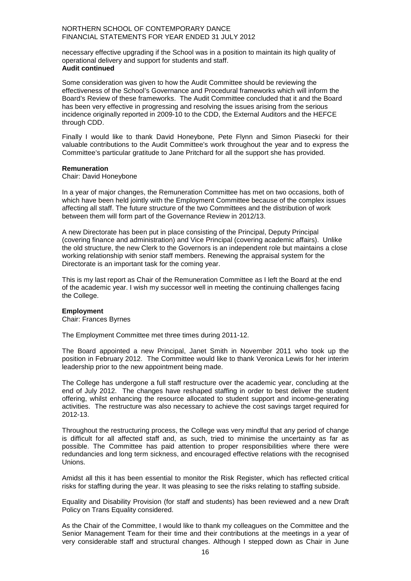necessary effective upgrading if the School was in a position to maintain its high quality of operational delivery and support for students and staff. **Audit continued**

Some consideration was given to how the Audit Committee should be reviewing the effectiveness of the School's Governance and Procedural frameworks which will inform the Board's Review of these frameworks. The Audit Committee concluded that it and the Board has been very effective in progressing and resolving the issues arising from the serious incidence originally reported in 2009-10 to the CDD, the External Auditors and the HEFCE through CDD.

Finally I would like to thank David Honeybone, Pete Flynn and Simon Piasecki for their valuable contributions to the Audit Committee's work throughout the year and to express the Committee's particular gratitude to Jane Pritchard for all the support she has provided.

#### **Remuneration**

Chair: David Honeybone

In a year of major changes, the Remuneration Committee has met on two occasions, both of which have been held jointly with the Employment Committee because of the complex issues affecting all staff. The future structure of the two Committees and the distribution of work between them will form part of the Governance Review in 2012/13.

A new Directorate has been put in place consisting of the Principal, Deputy Principal (covering finance and administration) and Vice Principal (covering academic affairs). Unlike the old structure, the new Clerk to the Governors is an independent role but maintains a close working relationship with senior staff members. Renewing the appraisal system for the Directorate is an important task for the coming year.

This is my last report as Chair of the Remuneration Committee as I left the Board at the end of the academic year. I wish my successor well in meeting the continuing challenges facing the College.

#### **Employment**

Chair: Frances Byrnes

The Employment Committee met three times during 2011-12.

The Board appointed a new Principal, Janet Smith in November 2011 who took up the position in February 2012. The Committee would like to thank Veronica Lewis for her interim leadership prior to the new appointment being made.

The College has undergone a full staff restructure over the academic year, concluding at the end of July 2012. The changes have reshaped staffing in order to best deliver the student offering, whilst enhancing the resource allocated to student support and income-generating activities. The restructure was also necessary to achieve the cost savings target required for 2012-13.

Throughout the restructuring process, the College was very mindful that any period of change is difficult for all affected staff and, as such, tried to minimise the uncertainty as far as possible. The Committee has paid attention to proper responsibilities where there were redundancies and long term sickness, and encouraged effective relations with the recognised Unions.

Amidst all this it has been essential to monitor the Risk Register, which has reflected critical risks for staffing during the year. It was pleasing to see the risks relating to staffing subside.

Equality and Disability Provision (for staff and students) has been reviewed and a new Draft Policy on Trans Equality considered.

As the Chair of the Committee, I would like to thank my colleagues on the Committee and the Senior Management Team for their time and their contributions at the meetings in a year of very considerable staff and structural changes. Although I stepped down as Chair in June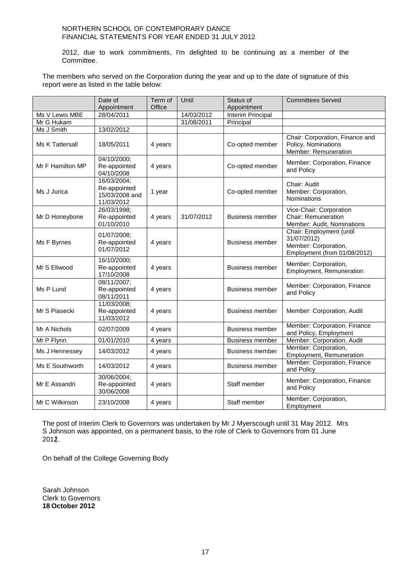2012, due to work commitments, I'm delighted to be continuing as a member of the Committee.

The members who served on the Corporation during the year and up to the date of signature of this report were as listed in the table below:

|                  | Date of<br>Appointment                                      | Term of<br>Office | Until      | Status of<br>Appointment | <b>Committees Served</b>                                                                        |
|------------------|-------------------------------------------------------------|-------------------|------------|--------------------------|-------------------------------------------------------------------------------------------------|
| Ms V Lewis MBE   | 28/04/2011                                                  |                   | 14/03/2012 | Interim Principal        |                                                                                                 |
| Mr G Hukam       |                                                             |                   | 31/08/2011 | Principal                |                                                                                                 |
| Ms J Smith       | 13/02/2012                                                  |                   |            |                          |                                                                                                 |
| Ms K Tattersall  | 18/05/2011                                                  | 4 years           |            | Co-opted member          | Chair: Corporation, Finance and<br>Policy, Nominations<br>Member: Remuneration                  |
| Mr F Hamilton MP | 04/10/2000;<br>Re-appointed<br>04/10/2008                   | 4 years           |            | Co-opted member          | Member: Corporation, Finance<br>and Policy                                                      |
| Ms J Jurica      | 16/03/2004;<br>Re-appointed<br>15/03/2008 and<br>11/03/2012 | 1 year            |            | Co-opted member          | Chair: Audit<br>Member: Corporation,<br>Nominations                                             |
| Mr D Honeybone   | 26/03/1998;<br>Re-appointed<br>01/10/2010                   | 4 years           | 31/07/2012 | <b>Business member</b>   | Vice-Chair: Corporation<br><b>Chair: Remuneration</b><br>Member: Audit, Nominations             |
| Ms F Byrnes      | 01/07/2008;<br>Re-appointed<br>01/07/2012                   | 4 years           |            | <b>Business member</b>   | Chair: Employment (until<br>31/07/2012)<br>Member: Corporation,<br>Employment (from 01/08/2012) |
| Mr S Ellwood     | 16/10/2000;<br>Re-appointed<br>17/10/2008                   | 4 years           |            | <b>Business member</b>   | Member: Corporation,<br>Employment, Remuneration                                                |
| Ms P Lund        | 08/11/2007;<br>Re-appointed<br>08/11/2011                   | 4 years           |            | <b>Business member</b>   | Member: Corporation, Finance<br>and Policy                                                      |
| Mr S Piasecki    | 11/03/2008;<br>Re-appointed<br>11/03/2012                   | 4 years           |            | <b>Business member</b>   | Member: Corporation, Audit                                                                      |
| Mr A Nichols     | 02/07/2009                                                  | 4 years           |            | <b>Business member</b>   | Member: Corporation, Finance<br>and Policy, Employment                                          |
| Mr P Flynn       | 01/01/2010                                                  | 4 years           |            | <b>Business member</b>   | Member: Corporation, Audit                                                                      |
| Ms J Hennessey   | 14/03/2012                                                  | 4 years           |            | <b>Business member</b>   | Member: Corporation,<br>Employment, Remuneration                                                |
| Ms E Southworth  | 14/03/2012                                                  | 4 years           |            | <b>Business member</b>   | Member: Corporation, Finance<br>and Policy                                                      |
| Mr E Assandri    | 30/06/2004;<br>Re-appointed<br>30/06/2008                   | 4 years           |            | Staff member             | Member: Corporation, Finance<br>and Policy                                                      |
| Mr C Wilkinson   | 23/10/2008                                                  | 4 years           |            | Staff member             | Member: Corporation,<br>Employment                                                              |

The post of Interim Clerk to Governors was undertaken by Mr J Myerscough until 31 May 2012. Mrs S Johnson was appointed, on a permanent basis, to the role of Clerk to Governors from 01 June 2012.

On behalf of the College Governing Body

Sarah Johnson Clerk to Governors **18 October 2012**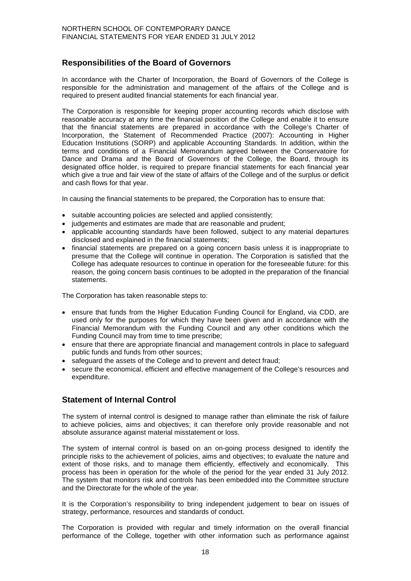## **Responsibilities of the Board of Governors**

In accordance with the Charter of Incorporation, the Board of Governors of the College is responsible for the administration and management of the affairs of the College and is required to present audited financial statements for each financial year.

The Corporation is responsible for keeping proper accounting records which disclose with reasonable accuracy at any time the financial position of the College and enable it to ensure that the financial statements are prepared in accordance with the College's Charter of Incorporation, the Statement of Recommended Practice (2007): Accounting in Higher Education Institutions (SORP) and applicable Accounting Standards. In addition, within the terms and conditions of a Financial Memorandum agreed between the Conservatoire for Dance and Drama and the Board of Governors of the College, the Board, through its designated office holder, is required to prepare financial statements for each financial year which give a true and fair view of the state of affairs of the College and of the surplus or deficit and cash flows for that year.

In causing the financial statements to be prepared, the Corporation has to ensure that:

- suitable accounting policies are selected and applied consistently;
- judgements and estimates are made that are reasonable and prudent;
- applicable accounting standards have been followed, subject to any material departures disclosed and explained in the financial statements;
- financial statements are prepared on a going concern basis unless it is inappropriate to presume that the College will continue in operation. The Corporation is satisfied that the College has adequate resources to continue in operation for the foreseeable future: for this reason, the going concern basis continues to be adopted in the preparation of the financial statements.

The Corporation has taken reasonable steps to:

- ensure that funds from the Higher Education Funding Council for England, via CDD, are used only for the purposes for which they have been given and in accordance with the Financial Memorandum with the Funding Council and any other conditions which the Funding Council may from time to time prescribe;
- ensure that there are appropriate financial and management controls in place to safeguard public funds and funds from other sources;
- safeguard the assets of the College and to prevent and detect fraud;
- secure the economical, efficient and effective management of the College's resources and expenditure.

#### **Statement of Internal Control**

The system of internal control is designed to manage rather than eliminate the risk of failure to achieve policies, aims and objectives; it can therefore only provide reasonable and not absolute assurance against material misstatement or loss.

The system of internal control is based on an on-going process designed to identify the principle risks to the achievement of policies, aims and objectives; to evaluate the nature and extent of those risks, and to manage them efficiently, effectively and economically. This process has been in operation for the whole of the period for the year ended 31 July 2012. The system that monitors risk and controls has been embedded into the Committee structure and the Directorate for the whole of the year.

It is the Corporation's responsibility to bring independent judgement to bear on issues of strategy, performance, resources and standards of conduct.

The Corporation is provided with regular and timely information on the overall financial performance of the College, together with other information such as performance against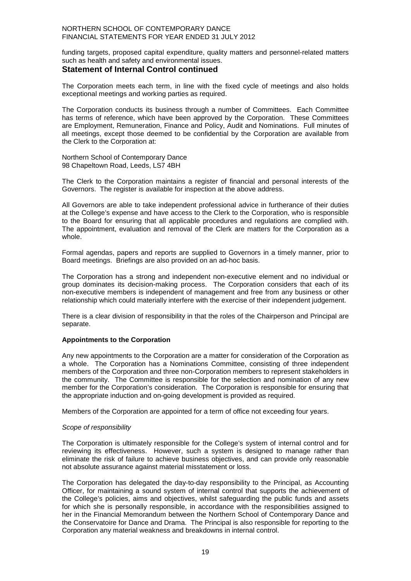funding targets, proposed capital expenditure, quality matters and personnel-related matters such as health and safety and environmental issues.

#### **Statement of Internal Control continued**

The Corporation meets each term, in line with the fixed cycle of meetings and also holds exceptional meetings and working parties as required.

The Corporation conducts its business through a number of Committees. Each Committee has terms of reference, which have been approved by the Corporation. These Committees are Employment, Remuneration, Finance and Policy, Audit and Nominations. Full minutes of all meetings, except those deemed to be confidential by the Corporation are available from the Clerk to the Corporation at:

Northern School of Contemporary Dance 98 Chapeltown Road, Leeds, LS7 4BH

The Clerk to the Corporation maintains a register of financial and personal interests of the Governors. The register is available for inspection at the above address.

All Governors are able to take independent professional advice in furtherance of their duties at the College's expense and have access to the Clerk to the Corporation, who is responsible to the Board for ensuring that all applicable procedures and regulations are complied with. The appointment, evaluation and removal of the Clerk are matters for the Corporation as a whole.

Formal agendas, papers and reports are supplied to Governors in a timely manner, prior to Board meetings. Briefings are also provided on an ad-hoc basis.

The Corporation has a strong and independent non-executive element and no individual or group dominates its decision-making process. The Corporation considers that each of its non-executive members is independent of management and free from any business or other relationship which could materially interfere with the exercise of their independent judgement.

There is a clear division of responsibility in that the roles of the Chairperson and Principal are separate.

#### **Appointments to the Corporation**

Any new appointments to the Corporation are a matter for consideration of the Corporation as a whole. The Corporation has a Nominations Committee, consisting of three independent members of the Corporation and three non-Corporation members to represent stakeholders in the community. The Committee is responsible for the selection and nomination of any new member for the Corporation's consideration. The Corporation is responsible for ensuring that the appropriate induction and on-going development is provided as required.

Members of the Corporation are appointed for a term of office not exceeding four years.

#### *Scope of responsibility*

The Corporation is ultimately responsible for the College's system of internal control and for reviewing its effectiveness. However, such a system is designed to manage rather than eliminate the risk of failure to achieve business objectives, and can provide only reasonable not absolute assurance against material misstatement or loss.

The Corporation has delegated the day-to-day responsibility to the Principal, as Accounting Officer, for maintaining a sound system of internal control that supports the achievement of the College's policies, aims and objectives, whilst safeguarding the public funds and assets for which she is personally responsible, in accordance with the responsibilities assigned to her in the Financial Memorandum between the Northern School of Contemporary Dance and the Conservatoire for Dance and Drama. The Principal is also responsible for reporting to the Corporation any material weakness and breakdowns in internal control.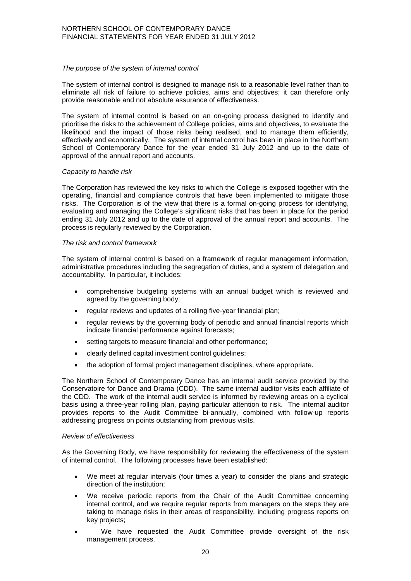#### *The purpose of the system of internal control*

The system of internal control is designed to manage risk to a reasonable level rather than to eliminate all risk of failure to achieve policies, aims and objectives; it can therefore only provide reasonable and not absolute assurance of effectiveness.

The system of internal control is based on an on-going process designed to identify and prioritise the risks to the achievement of College policies, aims and objectives, to evaluate the likelihood and the impact of those risks being realised, and to manage them efficiently, effectively and economically. The system of internal control has been in place in the Northern School of Contemporary Dance for the year ended 31 July 2012 and up to the date of approval of the annual report and accounts.

#### *Capacity to handle risk*

The Corporation has reviewed the key risks to which the College is exposed together with the operating, financial and compliance controls that have been implemented to mitigate those risks. The Corporation is of the view that there is a formal on-going process for identifying, evaluating and managing the College's significant risks that has been in place for the period ending 31 July 2012 and up to the date of approval of the annual report and accounts. The process is regularly reviewed by the Corporation.

#### *The risk and control framework*

The system of internal control is based on a framework of regular management information, administrative procedures including the segregation of duties, and a system of delegation and accountability. In particular, it includes:

- comprehensive budgeting systems with an annual budget which is reviewed and agreed by the governing body;
- regular reviews and updates of a rolling five-year financial plan;
- regular reviews by the governing body of periodic and annual financial reports which indicate financial performance against forecasts;
- setting targets to measure financial and other performance;
- clearly defined capital investment control guidelines;
- the adoption of formal project management disciplines, where appropriate.

The Northern School of Contemporary Dance has an internal audit service provided by the Conservatoire for Dance and Drama (CDD). The same internal auditor visits each affiliate of the CDD. The work of the internal audit service is informed by reviewing areas on a cyclical basis using a three-year rolling plan, paying particular attention to risk. The internal auditor provides reports to the Audit Committee bi-annually, combined with follow-up reports addressing progress on points outstanding from previous visits.

#### *Review of effectiveness*

As the Governing Body, we have responsibility for reviewing the effectiveness of the system of internal control. The following processes have been established:

- We meet at regular intervals (four times a year) to consider the plans and strategic direction of the institution;
- We receive periodic reports from the Chair of the Audit Committee concerning internal control, and we require regular reports from managers on the steps they are taking to manage risks in their areas of responsibility, including progress reports on key projects;
- We have requested the Audit Committee provide oversight of the risk management process.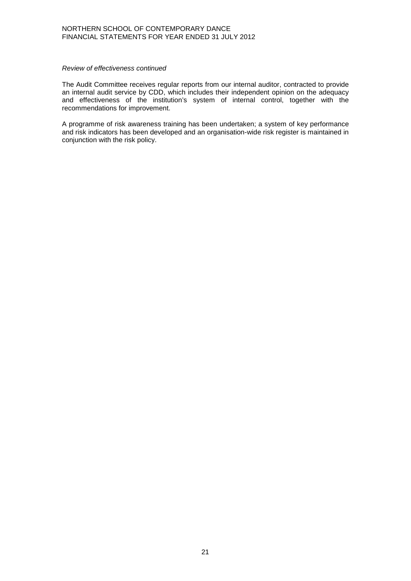#### *Review of effectiveness continued*

The Audit Committee receives regular reports from our internal auditor, contracted to provide an internal audit service by CDD, which includes their independent opinion on the adequacy and effectiveness of the institution's system of internal control, together with the recommendations for improvement.

A programme of risk awareness training has been undertaken; a system of key performance and risk indicators has been developed and an organisation-wide risk register is maintained in conjunction with the risk policy.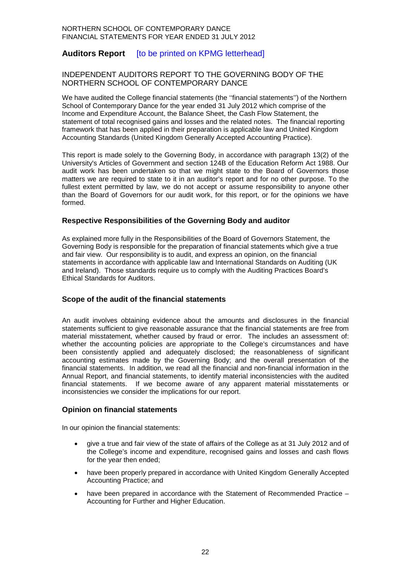## **Auditors Report** [to be printed on KPMG letterhead]

#### INDEPENDENT AUDITORS REPORT TO THE GOVERNING BODY OF THE NORTHERN SCHOOL OF CONTEMPORARY DANCE

We have audited the College financial statements (the ''financial statements'') of the Northern School of Contemporary Dance for the year ended 31 July 2012 which comprise of the Income and Expenditure Account, the Balance Sheet, the Cash Flow Statement, the statement of total recognised gains and losses and the related notes. The financial reporting framework that has been applied in their preparation is applicable law and United Kingdom Accounting Standards (United Kingdom Generally Accepted Accounting Practice).

This report is made solely to the Governing Body, in accordance with paragraph 13(2) of the University's Articles of Government and section 124B of the Education Reform Act 1988. Our audit work has been undertaken so that we might state to the Board of Governors those matters we are required to state to it in an auditor's report and for no other purpose. To the fullest extent permitted by law, we do not accept or assume responsibility to anyone other than the Board of Governors for our audit work, for this report, or for the opinions we have formed.

#### **Respective Responsibilities of the Governing Body and auditor**

As explained more fully in the Responsibilities of the Board of Governors Statement, the Governing Body is responsible for the preparation of financial statements which give a true and fair view. Our responsibility is to audit, and express an opinion, on the financial statements in accordance with applicable law and International Standards on Auditing (UK and Ireland). Those standards require us to comply with the Auditing Practices Board's Ethical Standards for Auditors.

#### **Scope of the audit of the financial statements**

An audit involves obtaining evidence about the amounts and disclosures in the financial statements sufficient to give reasonable assurance that the financial statements are free from material misstatement, whether caused by fraud or error. The includes an assessment of: whether the accounting policies are appropriate to the College's circumstances and have been consistently applied and adequately disclosed; the reasonableness of significant accounting estimates made by the Governing Body; and the overall presentation of the financial statements. In addition, we read all the financial and non-financial information in the Annual Report, and financial statements, to identify material inconsistencies with the audited financial statements. If we become aware of any apparent material misstatements or inconsistencies we consider the implications for our report.

#### **Opinion on financial statements**

In our opinion the financial statements:

- give a true and fair view of the state of affairs of the College as at 31 July 2012 and of the College's income and expenditure, recognised gains and losses and cash flows for the year then ended;
- have been properly prepared in accordance with United Kingdom Generally Accepted Accounting Practice; and
- have been prepared in accordance with the Statement of Recommended Practice Accounting for Further and Higher Education.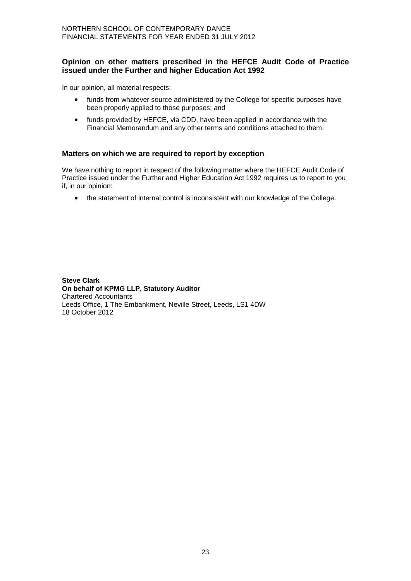#### **Opinion on other matters prescribed in the HEFCE Audit Code of Practice issued under the Further and higher Education Act 1992**

In our opinion, all material respects:

- funds from whatever source administered by the College for specific purposes have been properly applied to those purposes; and
- funds provided by HEFCE, via CDD, have been applied in accordance with the Financial Memorandum and any other terms and conditions attached to them.

#### **Matters on which we are required to report by exception**

We have nothing to report in respect of the following matter where the HEFCE Audit Code of Practice issued under the Further and Higher Education Act 1992 requires us to report to you if, in our opinion:

• the statement of internal control is inconsistent with our knowledge of the College.

**Steve Clark On behalf of KPMG LLP, Statutory Auditor** Chartered Accountants Leeds Office, 1 The Embankment, Neville Street, Leeds, LS1 4DW 18 October 2012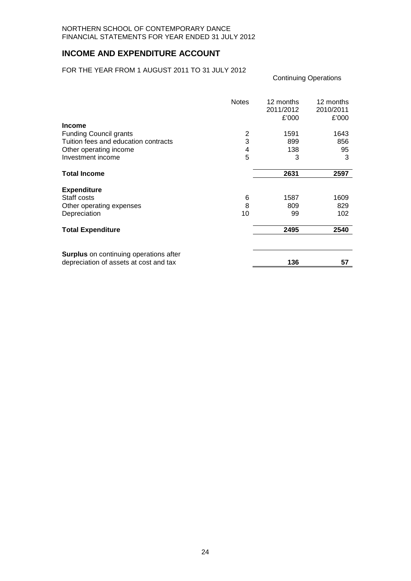## **INCOME AND EXPENDITURE ACCOUNT**

#### FOR THE YEAR FROM 1 AUGUST 2011 TO 31 JULY 2012

| <b>Income</b>                                                                           | <b>Notes</b> | 12 months<br>2011/2012<br>£'000 | 12 months<br>2010/2011<br>£'000 |
|-----------------------------------------------------------------------------------------|--------------|---------------------------------|---------------------------------|
| <b>Funding Council grants</b>                                                           | 2            | 1591                            | 1643                            |
| Tuition fees and education contracts                                                    | 3            | 899                             | 856                             |
| Other operating income                                                                  | 4            | 138                             | 95                              |
| Investment income                                                                       | 5            | 3                               | 3                               |
| <b>Total Income</b>                                                                     |              | 2631                            | 2597                            |
| <b>Expenditure</b>                                                                      |              |                                 |                                 |
| Staff costs                                                                             | 6            | 1587                            | 1609                            |
| Other operating expenses                                                                | 8            | 809                             | 829                             |
| Depreciation                                                                            | 10           | 99                              | 102                             |
| <b>Total Expenditure</b>                                                                |              | 2495                            | 2540                            |
| <b>Surplus</b> on continuing operations after<br>depreciation of assets at cost and tax |              | 136                             | 57                              |

Continuing Operations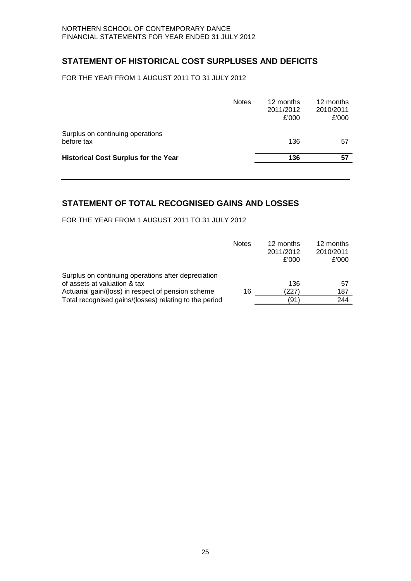## **STATEMENT OF HISTORICAL COST SURPLUSES AND DEFICITS**

FOR THE YEAR FROM 1 AUGUST 2011 TO 31 JULY 2012

|                                                | <b>Notes</b> | 12 months<br>2011/2012<br>£'000 | 12 months<br>2010/2011<br>£'000 |
|------------------------------------------------|--------------|---------------------------------|---------------------------------|
| Surplus on continuing operations<br>before tax |              | 136                             | 57                              |
| <b>Historical Cost Surplus for the Year</b>    |              | 136                             | 57                              |
|                                                |              |                                 |                                 |

## **STATEMENT OF TOTAL RECOGNISED GAINS AND LOSSES**

FOR THE YEAR FROM 1 AUGUST 2011 TO 31 JULY 2012

|                                                        | <b>Notes</b> | 12 months<br>2011/2012<br>£'000 | 12 months<br>2010/2011<br>£'000 |
|--------------------------------------------------------|--------------|---------------------------------|---------------------------------|
| Surplus on continuing operations after depreciation    |              |                                 |                                 |
| of assets at valuation & tax                           |              | 136                             | 57                              |
| Actuarial gain/(loss) in respect of pension scheme     | 16           | (227)                           | 187                             |
| Total recognised gains/(losses) relating to the period |              | (91)                            | 244                             |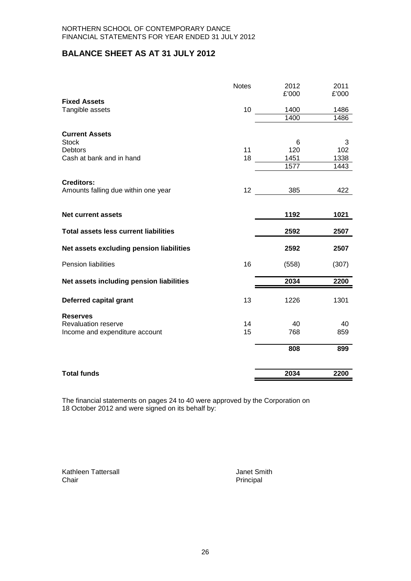## **BALANCE SHEET AS AT 31 JULY 2012**

|                                              | <b>Notes</b> | 2012<br>£'000 | 2011<br>£'000 |
|----------------------------------------------|--------------|---------------|---------------|
| <b>Fixed Assets</b>                          |              |               |               |
| Tangible assets                              | 10           | 1400          | 1486          |
|                                              |              | 1400          | 1486          |
| <b>Current Assets</b>                        |              |               |               |
| <b>Stock</b>                                 |              | 6             | 3             |
| <b>Debtors</b>                               | 11           | 120           | 102           |
| Cash at bank and in hand                     | 18           | 1451          | 1338          |
|                                              |              | 1577          | 1443          |
|                                              |              |               |               |
| <b>Creditors:</b>                            |              |               |               |
| Amounts falling due within one year          | 12           | 385           | 422           |
|                                              |              |               |               |
| <b>Net current assets</b>                    |              | 1192          | 1021          |
| <b>Total assets less current liabilities</b> |              | 2592          | 2507          |
| Net assets excluding pension liabilities     |              | 2592          | 2507          |
| Pension liabilities                          | 16           | (558)         | (307)         |
| Net assets including pension liabilities     |              | 2034          | 2200          |
| Deferred capital grant                       | 13           | 1226          | 1301          |
|                                              |              |               |               |
| <b>Reserves</b>                              |              |               |               |
| <b>Revaluation reserve</b>                   | 14           | 40            | 40            |
| Income and expenditure account               | 15           | 768           | 859           |
|                                              |              | 808           | 899           |
| <b>Total funds</b>                           |              | 2034          | 2200          |

The financial statements on pages 24 to 40 were approved by the Corporation on 18 October 2012 and were signed on its behalf by:

Kathleen Tattersall **Galleen Tattersall** Janet Smith<br>
Chair **Principal** 

Principal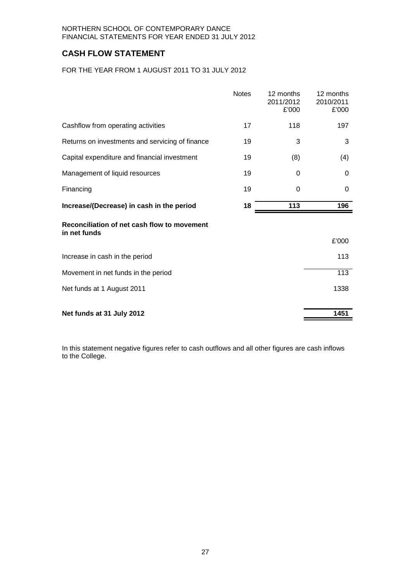## **CASH FLOW STATEMENT**

FOR THE YEAR FROM 1 AUGUST 2011 TO 31 JULY 2012

|                                                             | <b>Notes</b> | 12 months<br>2011/2012<br>£'000 | 12 months<br>2010/2011<br>£'000 |
|-------------------------------------------------------------|--------------|---------------------------------|---------------------------------|
| Cashflow from operating activities                          | 17           | 118                             | 197                             |
| Returns on investments and servicing of finance             | 19           | 3                               | 3                               |
| Capital expenditure and financial investment                | 19           | (8)                             | (4)                             |
| Management of liquid resources                              | 19           | 0                               | 0                               |
| Financing                                                   | 19           | $\Omega$                        | 0                               |
| Increase/(Decrease) in cash in the period                   | 18           | 113                             | 196                             |
| Reconciliation of net cash flow to movement<br>in net funds |              |                                 |                                 |
|                                                             |              |                                 | £'000                           |
| Increase in cash in the period                              |              |                                 | 113                             |
| Movement in net funds in the period                         |              |                                 | 113                             |
| Net funds at 1 August 2011                                  |              |                                 | 1338                            |
| Net funds at 31 July 2012                                   |              |                                 | 1451                            |

In this statement negative figures refer to cash outflows and all other figures are cash inflows to the College.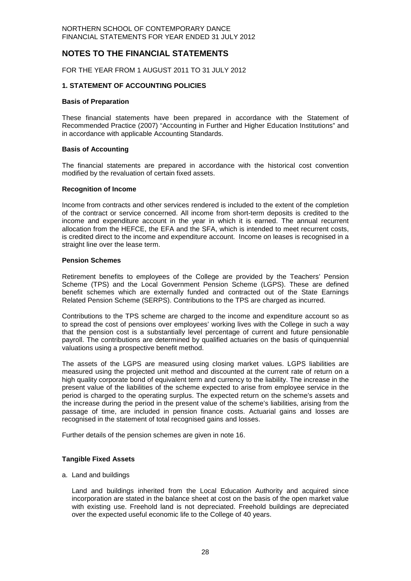## **NOTES TO THE FINANCIAL STATEMENTS**

FOR THE YEAR FROM 1 AUGUST 2011 TO 31 JULY 2012

#### **1. STATEMENT OF ACCOUNTING POLICIES**

#### **Basis of Preparation**

These financial statements have been prepared in accordance with the Statement of Recommended Practice (2007) "Accounting in Further and Higher Education Institutions" and in accordance with applicable Accounting Standards.

#### **Basis of Accounting**

The financial statements are prepared in accordance with the historical cost convention modified by the revaluation of certain fixed assets.

#### **Recognition of Income**

Income from contracts and other services rendered is included to the extent of the completion of the contract or service concerned. All income from short-term deposits is credited to the income and expenditure account in the year in which it is earned. The annual recurrent allocation from the HEFCE, the EFA and the SFA, which is intended to meet recurrent costs, is credited direct to the income and expenditure account. Income on leases is recognised in a straight line over the lease term.

#### **Pension Schemes**

Retirement benefits to employees of the College are provided by the Teachers' Pension Scheme (TPS) and the Local Government Pension Scheme (LGPS). These are defined benefit schemes which are externally funded and contracted out of the State Earnings Related Pension Scheme (SERPS). Contributions to the TPS are charged as incurred.

Contributions to the TPS scheme are charged to the income and expenditure account so as to spread the cost of pensions over employees' working lives with the College in such a way that the pension cost is a substantially level percentage of current and future pensionable payroll. The contributions are determined by qualified actuaries on the basis of quinquennial valuations using a prospective benefit method.

The assets of the LGPS are measured using closing market values. LGPS liabilities are measured using the projected unit method and discounted at the current rate of return on a high quality corporate bond of equivalent term and currency to the liability. The increase in the present value of the liabilities of the scheme expected to arise from employee service in the period is charged to the operating surplus. The expected return on the scheme's assets and the increase during the period in the present value of the scheme's liabilities, arising from the passage of time, are included in pension finance costs. Actuarial gains and losses are recognised in the statement of total recognised gains and losses.

Further details of the pension schemes are given in note 16.

#### **Tangible Fixed Assets**

a. Land and buildings

Land and buildings inherited from the Local Education Authority and acquired since incorporation are stated in the balance sheet at cost on the basis of the open market value with existing use. Freehold land is not depreciated. Freehold buildings are depreciated over the expected useful economic life to the College of 40 years.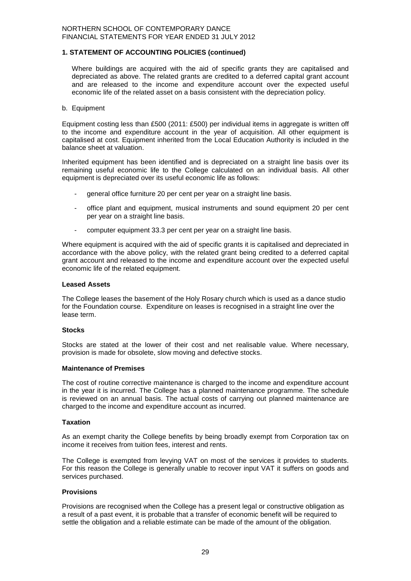#### **1. STATEMENT OF ACCOUNTING POLICIES (continued)**

Where buildings are acquired with the aid of specific grants they are capitalised and depreciated as above. The related grants are credited to a deferred capital grant account and are released to the income and expenditure account over the expected useful economic life of the related asset on a basis consistent with the depreciation policy.

#### b. Equipment

Equipment costing less than £500 (2011: £500) per individual items in aggregate is written off to the income and expenditure account in the year of acquisition. All other equipment is capitalised at cost. Equipment inherited from the Local Education Authority is included in the balance sheet at valuation.

Inherited equipment has been identified and is depreciated on a straight line basis over its remaining useful economic life to the College calculated on an individual basis. All other equipment is depreciated over its useful economic life as follows:

- general office furniture 20 per cent per year on a straight line basis.
- office plant and equipment, musical instruments and sound equipment 20 per cent per year on a straight line basis.
- computer equipment 33.3 per cent per year on a straight line basis.

Where equipment is acquired with the aid of specific grants it is capitalised and depreciated in accordance with the above policy, with the related grant being credited to a deferred capital grant account and released to the income and expenditure account over the expected useful economic life of the related equipment.

#### **Leased Assets**

The College leases the basement of the Holy Rosary church which is used as a dance studio for the Foundation course. Expenditure on leases is recognised in a straight line over the lease term.

#### **Stocks**

Stocks are stated at the lower of their cost and net realisable value. Where necessary, provision is made for obsolete, slow moving and defective stocks.

#### **Maintenance of Premises**

The cost of routine corrective maintenance is charged to the income and expenditure account in the year it is incurred. The College has a planned maintenance programme. The schedule is reviewed on an annual basis. The actual costs of carrying out planned maintenance are charged to the income and expenditure account as incurred.

#### **Taxation**

As an exempt charity the College benefits by being broadly exempt from Corporation tax on income it receives from tuition fees, interest and rents.

The College is exempted from levying VAT on most of the services it provides to students. For this reason the College is generally unable to recover input VAT it suffers on goods and services purchased.

#### **Provisions**

Provisions are recognised when the College has a present legal or constructive obligation as a result of a past event, it is probable that a transfer of economic benefit will be required to settle the obligation and a reliable estimate can be made of the amount of the obligation.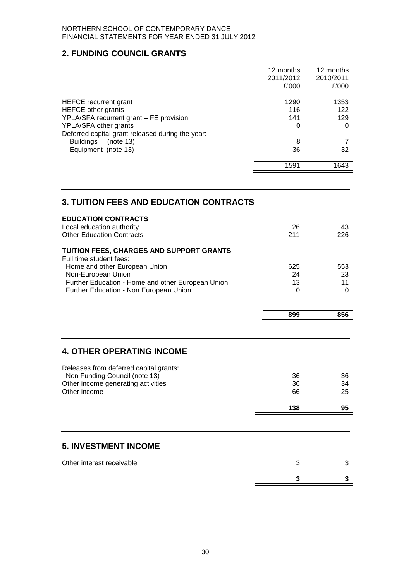## **2. FUNDING COUNCIL GRANTS**

|                                                  | 12 months | 12 months |
|--------------------------------------------------|-----------|-----------|
|                                                  | 2011/2012 | 2010/2011 |
|                                                  | £'000     | £'000     |
| <b>HEFCE</b> recurrent grant                     | 1290      | 1353      |
| <b>HEFCE</b> other grants                        | 116       | 122       |
| YPLA/SFA recurrent grant – FE provision          | 141       | 129       |
| YPLA/SFA other grants                            | 0         | 0         |
| Deferred capital grant released during the year: |           |           |
| <b>Buildings</b><br>(note 13)                    | 8         |           |
| Equipment (note 13)                              | 36        | 32        |
|                                                  | 1591      | 1643      |
|                                                  |           |           |

## **3. TUITION FEES AND EDUCATION CONTRACTS**

| <b>EDUCATION CONTRACTS</b><br>Local education authority<br><b>Other Education Contracts</b> | 26<br>211 | 43<br>226 |
|---------------------------------------------------------------------------------------------|-----------|-----------|
| <b>TUITION FEES, CHARGES AND SUPPORT GRANTS</b><br>Full time student fees:                  |           |           |
| Home and other European Union                                                               | 625       | 553       |
| Non-European Union                                                                          | 24        | 23        |
| Further Education - Home and other European Union                                           | 13        | 11        |
| Further Education - Non European Union                                                      | 0         |           |
|                                                                                             |           |           |

 $\blacksquare$ 

## **4. OTHER OPERATING INCOME**

| Releases from deferred capital grants: |     |    |
|----------------------------------------|-----|----|
| Non Funding Council (note 13)          | 36  | 36 |
| Other income generating activities     | 36  | 34 |
| Other income                           | 66  | 25 |
|                                        |     |    |
|                                        | 138 | 95 |
|                                        |     |    |

## **5. INVESTMENT INCOME**

| Other interest receivable |  |  |
|---------------------------|--|--|
|                           |  |  |
|                           |  |  |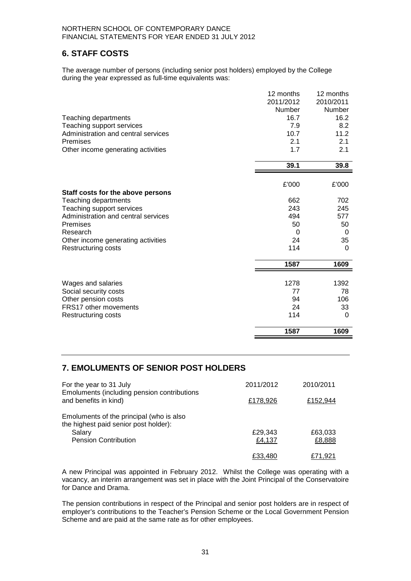## **6. STAFF COSTS**

The average number of persons (including senior post holders) employed by the College during the year expressed as full-time equivalents was:

|                                     | 12 months | 12 months |
|-------------------------------------|-----------|-----------|
|                                     | 2011/2012 | 2010/2011 |
|                                     | Number    | Number    |
| Teaching departments                | 16.7      | 16.2      |
| Teaching support services           | 7.9       | 8.2       |
| Administration and central services | 10.7      | 11.2      |
| Premises                            | 2.1       | 2.1       |
| Other income generating activities  | 1.7       | 2.1       |
|                                     | 39.1      | 39.8      |
|                                     |           |           |
|                                     | £'000     | £'000     |
| Staff costs for the above persons   |           |           |
| Teaching departments                | 662       | 702       |
| Teaching support services           | 243       | 245       |
| Administration and central services | 494       | 577       |
| Premises                            | 50        | 50        |
| Research                            | 0         | 0         |
| Other income generating activities  | 24        | 35        |
| Restructuring costs                 | 114       | 0         |
|                                     | 1587      | 1609      |
|                                     |           |           |
| Wages and salaries                  | 1278      | 1392      |
| Social security costs               | 77        | 78        |
| Other pension costs                 | 94        | 106       |
| FRS17 other movements               | 24        | 33        |
| Restructuring costs                 | 114       | 0         |
|                                     | 1587      | 1609      |

## **7. EMOLUMENTS OF SENIOR POST HOLDERS**

| For the year to 31 July                                                                     | 2011/2012 | 2010/2011 |
|---------------------------------------------------------------------------------------------|-----------|-----------|
| Emoluments (including pension contributions<br>and benefits in kind)                        | £178,926  | £152,944  |
| Emoluments of the principal (who is also<br>the highest paid senior post holder):<br>Salary | £29,343   | £63,033   |
| <b>Pension Contribution</b>                                                                 | £4,137    | £8,888    |
|                                                                                             | £33.480   | £71.921   |

A new Principal was appointed in February 2012. Whilst the College was operating with a vacancy, an interim arrangement was set in place with the Joint Principal of the Conservatoire for Dance and Drama.

The pension contributions in respect of the Principal and senior post holders are in respect of employer's contributions to the Teacher's Pension Scheme or the Local Government Pension Scheme and are paid at the same rate as for other employees.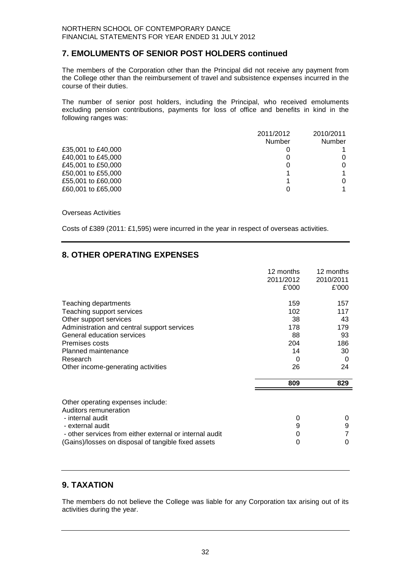## **7. EMOLUMENTS OF SENIOR POST HOLDERS continued**

The members of the Corporation other than the Principal did not receive any payment from the College other than the reimbursement of travel and subsistence expenses incurred in the course of their duties.

The number of senior post holders, including the Principal, who received emoluments excluding pension contributions, payments for loss of office and benefits in kind in the following ranges was:

|                    | 2011/2012     | 2010/2011     |
|--------------------|---------------|---------------|
|                    | <b>Number</b> | <b>Number</b> |
| £35,001 to £40,000 |               |               |
| £40,001 to £45,000 |               | 0             |
| £45,001 to £50,000 |               | 0             |
| £50,001 to £55,000 |               |               |
| £55,001 to £60,000 |               | 0             |
| £60,001 to £65,000 |               |               |
|                    |               |               |

Overseas Activities

Costs of £389 (2011: £1,595) were incurred in the year in respect of overseas activities.

## **8. OTHER OPERATING EXPENSES**

|                                                                                                                                                                                                                      | 12 months<br>2011/2012<br>£'000                 | 12 months<br>2010/2011<br>£'000                 |
|----------------------------------------------------------------------------------------------------------------------------------------------------------------------------------------------------------------------|-------------------------------------------------|-------------------------------------------------|
| Teaching departments<br>Teaching support services<br>Other support services<br>Administration and central support services<br>General education services<br>Premises costs<br>Planned maintenance<br>Research        | 159<br>102<br>38<br>178<br>88<br>204<br>14<br>0 | 157<br>117<br>43<br>179<br>93<br>186<br>30<br>0 |
| Other income-generating activities                                                                                                                                                                                   | 26<br>809                                       | 24<br>829                                       |
| Other operating expenses include:<br>Auditors remuneration<br>- internal audit<br>- external audit<br>- other services from either external or internal audit<br>(Gains)/losses on disposal of tangible fixed assets | 0<br>9<br>0<br>0                                | 0<br>9<br>0                                     |

## **9. TAXATION**

The members do not believe the College was liable for any Corporation tax arising out of its activities during the year.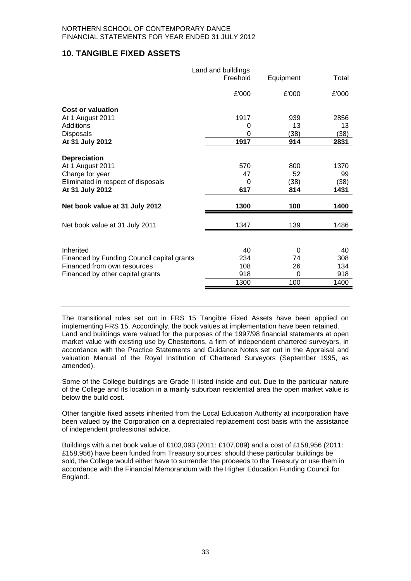## **10. TANGIBLE FIXED ASSETS**

|                                            | Land and buildings<br>Freehold | Equipment | Total |
|--------------------------------------------|--------------------------------|-----------|-------|
|                                            | £'000                          | £'000     | £'000 |
| <b>Cost or valuation</b>                   |                                |           |       |
| At 1 August 2011                           | 1917                           | 939       | 2856  |
| Additions                                  | 0                              | 13        | 13    |
| Disposals                                  | 0                              | (38)      | (38)  |
| At 31 July 2012                            | 1917                           | 914       | 2831  |
| <b>Depreciation</b>                        |                                |           |       |
| At 1 August 2011                           | 570                            | 800       | 1370  |
| Charge for year                            | 47                             | 52        | 99    |
| Eliminated in respect of disposals         | 0                              | (38)      | (38)  |
| At 31 July 2012                            | 617                            | 814       | 1431  |
|                                            |                                |           |       |
| Net book value at 31 July 2012             | 1300                           | 100       | 1400  |
|                                            |                                |           |       |
| Net book value at 31 July 2011             | 1347                           | 139       | 1486  |
|                                            |                                |           |       |
| Inherited                                  | 40                             | $\Omega$  | 40    |
| Financed by Funding Council capital grants | 234                            | 74        | 308   |
| Financed from own resources                | 108                            | 26        | 134   |
| Financed by other capital grants           | 918                            | $\Omega$  | 918   |
|                                            | 1300                           | 100       | 1400  |
|                                            |                                |           |       |

The transitional rules set out in FRS 15 Tangible Fixed Assets have been applied on implementing FRS 15. Accordingly, the book values at implementation have been retained. Land and buildings were valued for the purposes of the 1997/98 financial statements at open market value with existing use by Chestertons, a firm of independent chartered surveyors, in accordance with the Practice Statements and Guidance Notes set out in the Appraisal and valuation Manual of the Royal Institution of Chartered Surveyors (September 1995, as amended).

Some of the College buildings are Grade II listed inside and out. Due to the particular nature of the College and its location in a mainly suburban residential area the open market value is below the build cost.

Other tangible fixed assets inherited from the Local Education Authority at incorporation have been valued by the Corporation on a depreciated replacement cost basis with the assistance of independent professional advice.

Buildings with a net book value of £103,093 (2011: £107,089) and a cost of £158,956 (2011: £158,956) have been funded from Treasury sources: should these particular buildings be sold, the College would either have to surrender the proceeds to the Treasury or use them in accordance with the Financial Memorandum with the Higher Education Funding Council for England.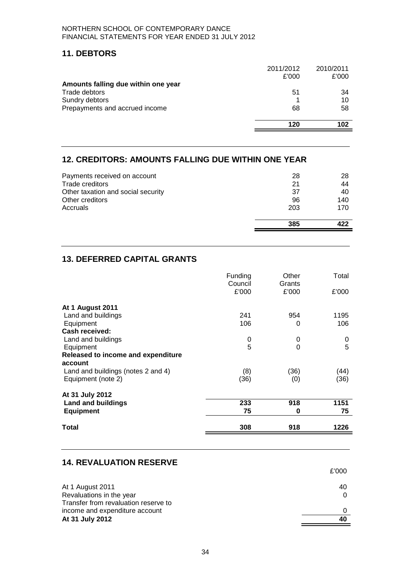## **11. DEBTORS**

|                                     | 2011/2012 | 2010/2011 |
|-------------------------------------|-----------|-----------|
|                                     | £'000     | £'000     |
| Amounts falling due within one year |           |           |
| Trade debtors                       | 51        | 34        |
| Sundry debtors                      |           | 10        |
| Prepayments and accrued income      | 68        | 58        |
|                                     | 120       | 102       |
|                                     |           |           |

## **12. CREDITORS: AMOUNTS FALLING DUE WITHIN ONE YEAR**

| Payments received on account<br>Trade creditors | 28<br>21 | 28<br>44 |
|-------------------------------------------------|----------|----------|
| Other taxation and social security              | -37      | 40       |
| Other creditors                                 | 96       | 140      |
| Accruals                                        | 203      | 170      |
|                                                 | 385      |          |

## **13. DEFERRED CAPITAL GRANTS**

|                                    | Funding<br>Council<br>£'000 | Other<br>Grants<br>£'000 | Total<br>£'000 |
|------------------------------------|-----------------------------|--------------------------|----------------|
|                                    |                             |                          |                |
| <b>At 1 August 2011</b>            |                             |                          |                |
| Land and buildings                 | 241                         | 954                      | 1195           |
| Equipment                          | 106                         | 0                        | 106            |
| <b>Cash received:</b>              |                             |                          |                |
| Land and buildings                 | 0                           | 0                        | 0              |
| Equipment                          | 5                           | $\Omega$                 | 5              |
| Released to income and expenditure |                             |                          |                |
| account                            |                             |                          |                |
| Land and buildings (notes 2 and 4) | (8)                         | (36)                     | (44)           |
| Equipment (note 2)                 | (36)                        | (0)                      | (36)           |
| At 31 July 2012                    |                             |                          |                |
| <b>Land and buildings</b>          | 233                         | 918                      | 1151           |
| <b>Equipment</b>                   | 75                          | 0                        | 75             |
| Total                              | 308                         | 918                      | 1226           |

#### **14. REVALUATION RESERVE**

|                                      | £'000 |
|--------------------------------------|-------|
| At 1 August 2011                     | 40    |
| Revaluations in the year             |       |
| Transfer from revaluation reserve to |       |
| income and expenditure account       |       |
| At 31 July 2012                      | 40    |
|                                      |       |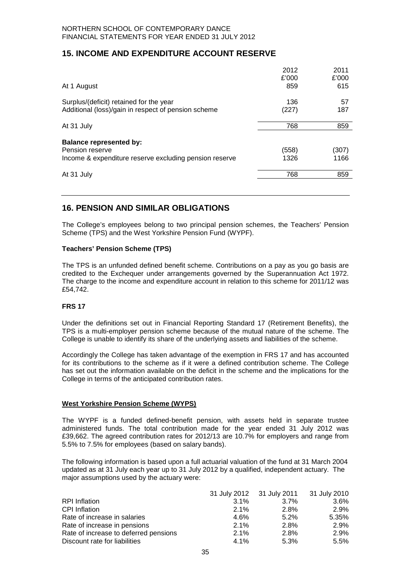## **15. INCOME AND EXPENDITURE ACCOUNT RESERVE**

|                                                        | 2012  | 2011  |
|--------------------------------------------------------|-------|-------|
|                                                        | £'000 | £'000 |
| At 1 August                                            | 859   | 615   |
| Surplus/(deficit) retained for the year                | 136   | 57    |
| Additional (loss)/gain in respect of pension scheme    | (227) | 187   |
| At 31 July                                             | 768   | 859   |
| <b>Balance represented by:</b>                         |       |       |
| Pension reserve                                        | (558) | (307) |
| Income & expenditure reserve excluding pension reserve | 1326  | 1166  |
| At 31 July                                             | 768   | 859   |
|                                                        |       |       |

## **16. PENSION AND SIMILAR OBLIGATIONS**

The College's employees belong to two principal pension schemes, the Teachers' Pension Scheme (TPS) and the West Yorkshire Pension Fund (WYPF).

#### **Teachers' Pension Scheme (TPS)**

The TPS is an unfunded defined benefit scheme. Contributions on a pay as you go basis are credited to the Exchequer under arrangements governed by the Superannuation Act 1972. The charge to the income and expenditure account in relation to this scheme for 2011/12 was £54,742.

#### **FRS 17**

Under the definitions set out in Financial Reporting Standard 17 (Retirement Benefits), the TPS is a multi-employer pension scheme because of the mutual nature of the scheme. The College is unable to identify its share of the underlying assets and liabilities of the scheme.

Accordingly the College has taken advantage of the exemption in FRS 17 and has accounted for its contributions to the scheme as if it were a defined contribution scheme. The College has set out the information available on the deficit in the scheme and the implications for the College in terms of the anticipated contribution rates.

#### **West Yorkshire Pension Scheme (WYPS)**

The WYPF is a funded defined-benefit pension, with assets held in separate trustee administered funds. The total contribution made for the year ended 31 July 2012 was £39,662. The agreed contribution rates for 2012/13 are 10.7% for employers and range from 5.5% to 7.5% for employees (based on salary bands).

The following information is based upon a full actuarial valuation of the fund at 31 March 2004 updated as at 31 July each year up to 31 July 2012 by a qualified, independent actuary.The major assumptions used by the actuary were:

|                                       |      | 31 July 2012 31 July 2011 31 July 2010 |       |
|---------------------------------------|------|----------------------------------------|-------|
| <b>RPI</b> Inflation                  | 3.1% | $3.7\%$                                | 3.6%  |
| <b>CPI</b> Inflation                  | 2.1% | 2.8%                                   | 2.9%  |
| Rate of increase in salaries          | 4.6% | 5.2%                                   | 5.35% |
| Rate of increase in pensions          | 2.1% | 2.8%                                   | 2.9%  |
| Rate of increase to deferred pensions | 2.1% | 2.8%                                   | 2.9%  |
| Discount rate for liabilities         | 4.1% | 5.3%                                   | 5.5%  |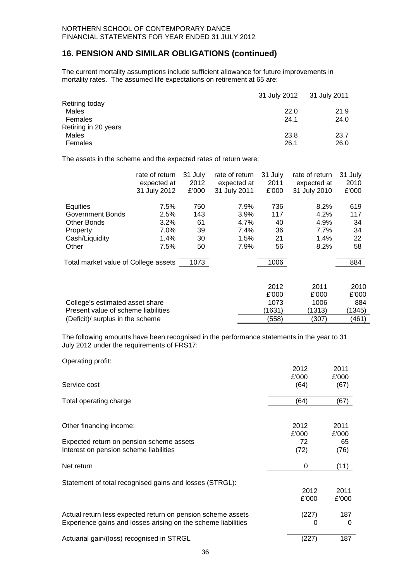## **16. PENSION AND SIMILAR OBLIGATIONS (continued)**

The current mortality assumptions include sufficient allowance for future improvements in mortality rates. The assumed life expectations on retirement at 65 are:

|                      | 31 July 2012 31 July 2011 |      |
|----------------------|---------------------------|------|
| Retiring today       |                           |      |
| Males                | 22.0                      | 21.9 |
| Females              | 24.1                      | 24.0 |
| Retiring in 20 years |                           |      |
| Males                | 23.8                      | 23.7 |
| Females              | 26.1                      | 26.0 |
|                      |                           |      |

The assets in the scheme and the expected rates of return were:

| rate of return | 31 July                                                                                                                                                           | rate of return | 31 July     | rate of return | 31 July     |                                |
|----------------|-------------------------------------------------------------------------------------------------------------------------------------------------------------------|----------------|-------------|----------------|-------------|--------------------------------|
|                | 2012                                                                                                                                                              |                | 2011        |                | 2010        |                                |
| 31 July 2012   | £'000                                                                                                                                                             | 31 July 2011   | £'000       | 31 July 2010   | £'000       |                                |
| 7.5%           | 750                                                                                                                                                               | 7.9%           | 736         | 8.2%           | 619         |                                |
| 2.5%           | 143                                                                                                                                                               | $3.9\%$        | 117         | 4.2%           | 117         |                                |
| 3.2%           | 61                                                                                                                                                                | 4.7%           | 40          | 4.9%           | 34          |                                |
| 7.0%           | 39                                                                                                                                                                | 7.4%           | 36          | 7.7%           | 34          |                                |
| 1.4%           | 30                                                                                                                                                                | 1.5%           | 21          | 1.4%           | 22          |                                |
| 7.5%           | 50                                                                                                                                                                | 7.9%           | 56          | 8.2%           | 58          |                                |
|                | 1073                                                                                                                                                              |                | 1006        |                | 884         |                                |
|                |                                                                                                                                                                   |                |             |                |             |                                |
|                |                                                                                                                                                                   |                | 2012        | 2011           |             |                                |
|                |                                                                                                                                                                   |                | £'000       | £'000          |             |                                |
|                |                                                                                                                                                                   |                | 1073        | 1006           |             |                                |
|                |                                                                                                                                                                   |                | (1631)      | (1313)         |             |                                |
|                |                                                                                                                                                                   |                | (558)       | (307)          | (461)       |                                |
|                | expected at<br>Total market value of College assets<br>College's estimated asset share<br>Present value of scheme liabilities<br>(Deficit)/ surplus in the scheme |                | expected at |                | expected at | 2010<br>£'000<br>884<br>(1345) |

The following amounts have been recognised in the performance statements in the year to 31 July 2012 under the requirements of FRS17:

Operating profit:

|                                                               | 2012  | 2011  |
|---------------------------------------------------------------|-------|-------|
|                                                               | £'000 | £'000 |
| Service cost                                                  | (64)  | (67)  |
| Total operating charge                                        | (64)  | (67)  |
|                                                               |       |       |
| Other financing income:                                       | 2012  | 2011  |
|                                                               | £'000 | £'000 |
| Expected return on pension scheme assets                      | 72    | 65    |
| Interest on pension scheme liabilities                        | (72)  | (76)  |
| Net return                                                    | 0     | (11)  |
| Statement of total recognised gains and losses (STRGL):       |       |       |
|                                                               | 2012  | 2011  |
|                                                               | £'000 | £'000 |
| Actual return less expected return on pension scheme assets   | (227) | 187   |
| Experience gains and losses arising on the scheme liabilities | O     | 0     |
| Actuarial gain/(loss) recognised in STRGL                     | (227) | 187   |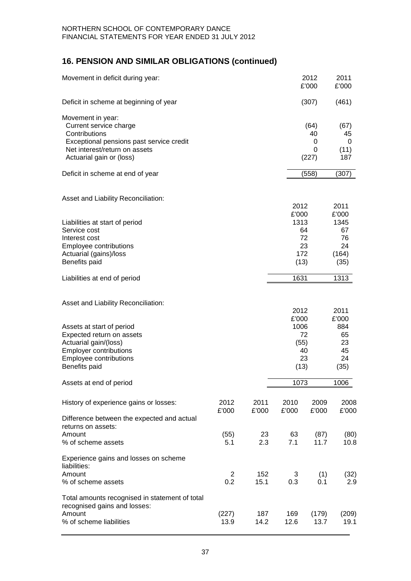## **16. PENSION AND SIMILAR OBLIGATIONS (continued)**

| Movement in deficit during year:                                                                                                                                      |                |               |                       | 2012<br>£'000                 | 2011<br>£'000                           |
|-----------------------------------------------------------------------------------------------------------------------------------------------------------------------|----------------|---------------|-----------------------|-------------------------------|-----------------------------------------|
| Deficit in scheme at beginning of year                                                                                                                                |                |               |                       | (307)                         | (461)                                   |
| Movement in year:<br>Current service charge<br>Contributions<br>Exceptional pensions past service credit<br>Net interest/return on assets<br>Actuarial gain or (loss) |                |               |                       | (64)<br>40<br>0<br>0<br>(227) | (67)<br>45<br>0<br>(11)<br>187          |
| Deficit in scheme at end of year                                                                                                                                      |                |               |                       | (558)                         | (307)                                   |
| Asset and Liability Reconciliation:                                                                                                                                   |                |               | 2012<br>£'000         |                               | 2011<br>£'000                           |
| Liabilities at start of period<br>Service cost<br>Interest cost<br>Employee contributions<br>Actuarial (gains)/loss<br>Benefits paid                                  |                |               | 1313<br>172<br>(13)   | 64<br>72<br>23                | 1345<br>67<br>76<br>24<br>(164)<br>(35) |
| Liabilities at end of period                                                                                                                                          |                |               | 1631                  |                               | 1313                                    |
| Asset and Liability Reconciliation:<br>Assets at start of period                                                                                                      |                |               | 2012<br>£'000<br>1006 |                               | 2011<br>£'000<br>884                    |
| Expected return on assets<br>Actuarial gain/(loss)<br><b>Employer contributions</b><br><b>Employee contributions</b><br>Benefits paid                                 |                |               | (55)<br>(13)          | 72<br>40<br>23                | 65<br>23<br>45<br>24<br>(35)            |
| Assets at end of period                                                                                                                                               |                |               | 1073                  |                               | 1006                                    |
| History of experience gains or losses:<br>Difference between the expected and actual                                                                                  | 2012<br>£'000  | 2011<br>£'000 | 2010<br>£'000         | 2009<br>£'000                 | 2008<br>£'000                           |
| returns on assets:<br>Amount<br>% of scheme assets                                                                                                                    | (55)<br>5.1    | 23<br>2.3     | 63<br>7.1             | (87)<br>11.7                  | (80)<br>10.8                            |
| Experience gains and losses on scheme<br>liabilities:<br>Amount                                                                                                       | $\overline{2}$ | 152           | 3                     | (1)                           | (32)                                    |
| % of scheme assets                                                                                                                                                    | 0.2            | 15.1          | 0.3                   | 0.1                           | 2.9                                     |
| Total amounts recognised in statement of total<br>recognised gains and losses:<br>Amount<br>% of scheme liabilities                                                   | (227)<br>13.9  | 187<br>14.2   | 169<br>12.6           | (179)<br>13.7                 | (209)<br>19.1                           |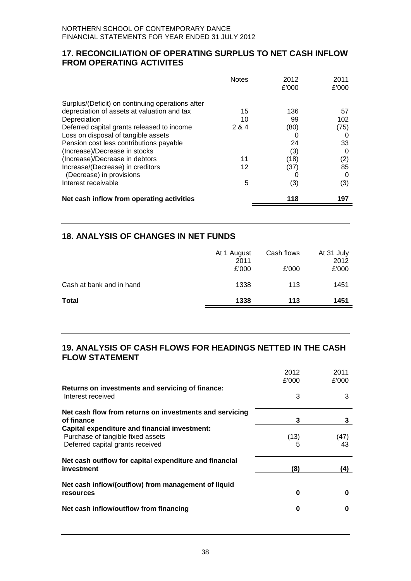## **17. RECONCILIATION OF OPERATING SURPLUS TO NET CASH INFLOW FROM OPERATING ACTIVITES**

| <b>Notes</b>                                        | 2012<br>£'000 | 2011<br>£'000 |
|-----------------------------------------------------|---------------|---------------|
| Surplus/(Deficit) on continuing operations after    |               |               |
| depreciation of assets at valuation and tax<br>15   | 136           | 57            |
| 10<br>Depreciation                                  | 99            | 102           |
| Deferred capital grants released to income<br>2 & 4 | (80)          | (75)          |
| Loss on disposal of tangible assets                 |               |               |
| Pension cost less contributions payable             | 24            | 33            |
| (Increase)/Decrease in stocks                       | (3)           | 0             |
| (Increase)/Decrease in debtors<br>11                | (18)          | (2)           |
| Increase/(Decrease) in creditors<br>12              | (37)          | 85            |
| (Decrease) in provisions                            |               |               |
| Interest receivable<br>5                            | (3)           | (3)           |
| Net cash inflow from operating activities           | 118           | 197           |

## **18. ANALYSIS OF CHANGES IN NET FUNDS**

| Cash at bank and in hand | £'000 | £'000 | £'000 |
|--------------------------|-------|-------|-------|
|                          | 1338  | 113   | 1451  |
| <b>Total</b>             | 1338  | 113   | 1451  |

## **19. ANALYSIS OF CASH FLOWS FOR HEADINGS NETTED IN THE CASH FLOW STATEMENT**

|                                                         | 2012  | 2011  |
|---------------------------------------------------------|-------|-------|
|                                                         | £'000 | £'000 |
| Returns on investments and servicing of finance:        |       |       |
| Interest received                                       | 3     | 3     |
| Net cash flow from returns on investments and servicing |       |       |
| of finance                                              | 3     | 3     |
| Capital expenditure and financial investment:           |       |       |
| Purchase of tangible fixed assets                       | (13)  | (47)  |
| Deferred capital grants received                        |       | 43    |
| Net cash outflow for capital expenditure and financial  |       |       |
| investment                                              | (8)   | (4)   |
| Net cash inflow/(outflow) from management of liquid     |       |       |
| <b>resources</b>                                        | 0     | O     |
| Net cash inflow/outflow from financing                  | 0     | O     |
|                                                         |       |       |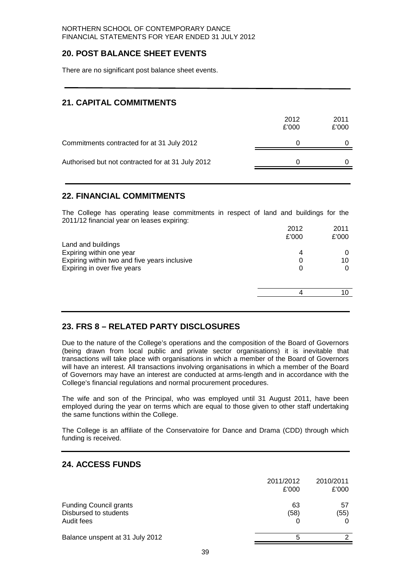## **20. POST BALANCE SHEET EVENTS**

There are no significant post balance sheet events.

## **21. CAPITAL COMMITMENTS**

| 2012<br>£'000 | 2011<br>£'000 |
|---------------|---------------|
|               |               |
|               |               |
|               |               |

## **22. FINANCIAL COMMITMENTS**

The College has operating lease commitments in respect of land and buildings for the 2011/12 financial year on leases expiring:

|                                              | 2012  | 2011  |
|----------------------------------------------|-------|-------|
|                                              | £'000 | £'000 |
| Land and buildings                           |       |       |
| Expiring within one year                     | 4     |       |
| Expiring within two and five years inclusive |       | 10    |
| Expiring in over five years                  | O     |       |
|                                              |       |       |
|                                              |       |       |
|                                              |       |       |
|                                              |       |       |

## **23. FRS 8 – RELATED PARTY DISCLOSURES**

Due to the nature of the College's operations and the composition of the Board of Governors (being drawn from local public and private sector organisations) it is inevitable that transactions will take place with organisations in which a member of the Board of Governors will have an interest. All transactions involving organisations in which a member of the Board of Governors may have an interest are conducted at arms-length and in accordance with the College's financial regulations and normal procurement procedures.

The wife and son of the Principal, who was employed until 31 August 2011, have been employed during the year on terms which are equal to those given to other staff undertaking the same functions within the College.

The College is an affiliate of the Conservatoire for Dance and Drama (CDD) through which funding is received.

## **24. ACCESS FUNDS**

|                                                                      | 2011/2012<br>£'000 | 2010/2011<br>£'000 |
|----------------------------------------------------------------------|--------------------|--------------------|
| <b>Funding Council grants</b><br>Disbursed to students<br>Audit fees | 63<br>(58)         | 57<br>(55)         |
| Balance unspent at 31 July 2012                                      | 5                  |                    |